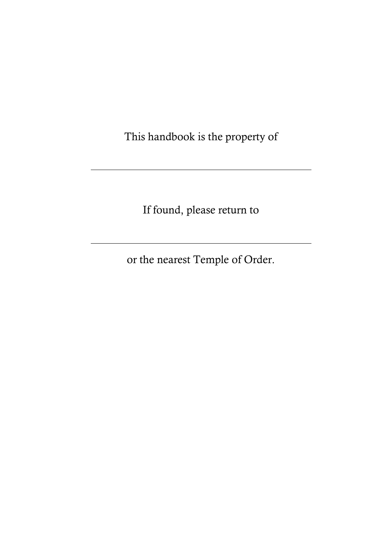This handbook is the property of

If found, please return to

or the nearest Temple of Order.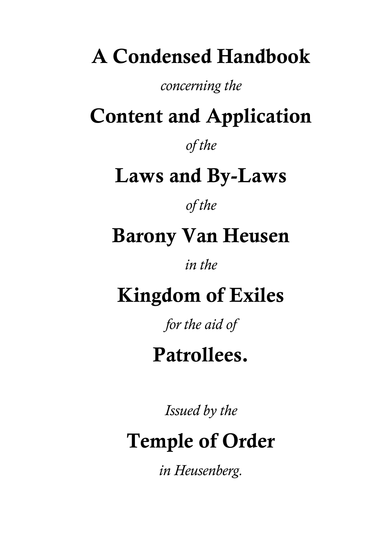# **A Condensed Handbook**

*concerning the*

# **Content and Application**

*of the*

# **Laws and By-Laws**

# *of the*

# **Barony Van Heusen**

# *in the*

# **Kingdom of Exiles**

*for the aid of*

# **Patrollees.**

*Issued by the*

# **Temple of Order**

*in Heusenberg.*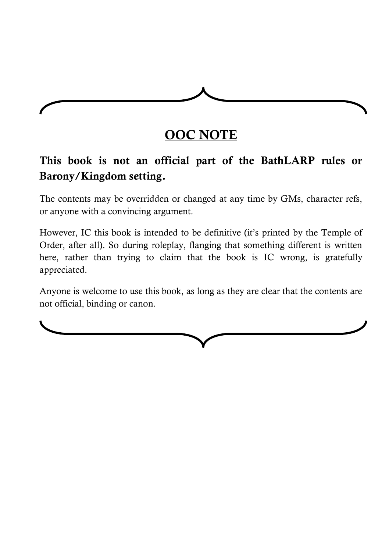

## **OOC NOTE**

### **This book is not an official part of the BathLARP rules or Barony/Kingdom setting.**

The contents may be overridden or changed at any time by GMs, character refs, or anyone with a convincing argument.

However, IC this book is intended to be definitive (it's printed by the Temple of Order, after all). So during roleplay, flanging that something different is written here, rather than trying to claim that the book is IC wrong, is gratefully appreciated.

Anyone is welcome to use this book, as long as they are clear that the contents are not official, binding or canon.

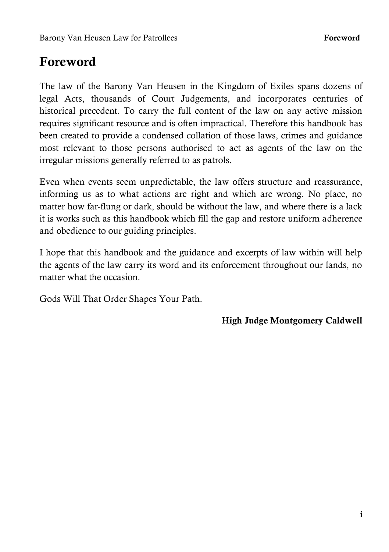## **Foreword**

The law of the Barony Van Heusen in the Kingdom of Exiles spans dozens of legal Acts, thousands of Court Judgements, and incorporates centuries of historical precedent. To carry the full content of the law on any active mission requires significant resource and is often impractical. Therefore this handbook has been created to provide a condensed collation of those laws, crimes and guidance most relevant to those persons authorised to act as agents of the law on the irregular missions generally referred to as patrols.

Even when events seem unpredictable, the law offers structure and reassurance, informing us as to what actions are right and which are wrong. No place, no matter how far-flung or dark, should be without the law, and where there is a lack it is works such as this handbook which fill the gap and restore uniform adherence and obedience to our guiding principles.

I hope that this handbook and the guidance and excerpts of law within will help the agents of the law carry its word and its enforcement throughout our lands, no matter what the occasion.

Gods Will That Order Shapes Your Path.

### **High Judge Montgomery Caldwell**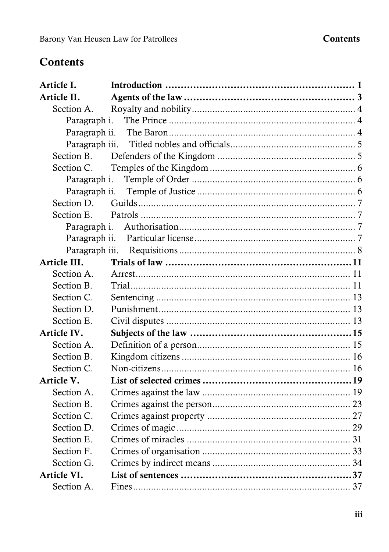### **Contents**

| Article I.    |  |
|---------------|--|
| Article II.   |  |
| Section A.    |  |
| Paragraph i.  |  |
| Paragraph ii. |  |
|               |  |
| Section B.    |  |
| Section C.    |  |
| Paragraph i.  |  |
| Paragraph ii. |  |
| Section D.    |  |
| Section E.    |  |
| Paragraph i.  |  |
|               |  |
|               |  |
| Article III.  |  |
| Section A.    |  |
| Section B.    |  |
| Section C.    |  |
| Section D.    |  |
| Section E.    |  |
| Article IV.   |  |
| Section A.    |  |
| Section B.    |  |
| Section C.    |  |
| Article V.    |  |
| Section A.    |  |
| Section B.    |  |
| Section C.    |  |
| Section D.    |  |
| Section E.    |  |
| Section F.    |  |
| Section G.    |  |
| Article VI.   |  |
| Section A.    |  |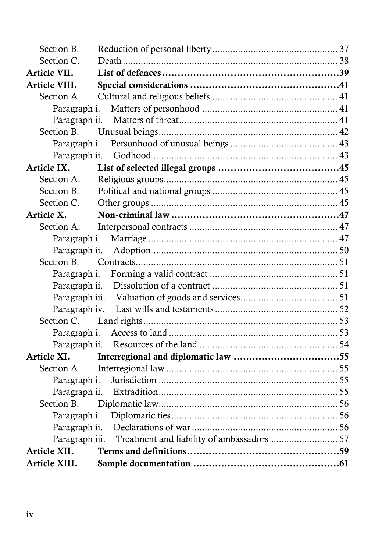| Section B.    |                                                           |  |
|---------------|-----------------------------------------------------------|--|
| Section C.    |                                                           |  |
| Article VII.  |                                                           |  |
| Article VIII. |                                                           |  |
| Section A.    |                                                           |  |
| Paragraph i.  |                                                           |  |
| Paragraph ii. |                                                           |  |
| Section B.    |                                                           |  |
| Paragraph i.  |                                                           |  |
|               |                                                           |  |
| Article IX.   |                                                           |  |
| Section A.    |                                                           |  |
| Section B.    |                                                           |  |
| Section C.    |                                                           |  |
| Article X.    |                                                           |  |
| Section A.    |                                                           |  |
| Paragraph i.  |                                                           |  |
| Paragraph ii. |                                                           |  |
| Section B.    |                                                           |  |
| Paragraph i.  |                                                           |  |
| Paragraph ii. |                                                           |  |
|               |                                                           |  |
| Paragraph iv. |                                                           |  |
| Section C.    |                                                           |  |
| Paragraph i.  |                                                           |  |
|               |                                                           |  |
| Article XI.   |                                                           |  |
| Section A.    |                                                           |  |
| Paragraph i.  |                                                           |  |
|               |                                                           |  |
| Section B.    |                                                           |  |
| Paragraph i.  |                                                           |  |
|               |                                                           |  |
|               | Paragraph iii. Treatment and liability of ambassadors  57 |  |
| Article XII.  |                                                           |  |
| Article XIII. |                                                           |  |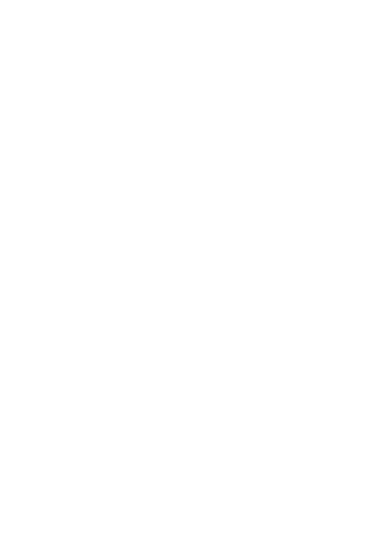<span id="page-12-0"></span>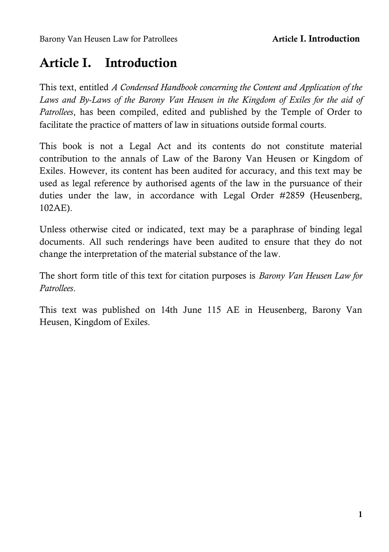## **Article I. Introduction**

This text, entitled *A Condensed Handbook concerning the Content and Application of the Laws and By-Laws of the Barony Van Heusen in the Kingdom of Exiles for the aid of Patrollees*, has been compiled, edited and published by the Temple of Order to facilitate the practice of matters of law in situations outside formal courts.

This book is not a Legal Act and its contents do not constitute material contribution to the annals of Law of the Barony Van Heusen or Kingdom of Exiles. However, its content has been audited for accuracy, and this text may be used as legal reference by authorised agents of the law in the pursuance of their duties under the law, in accordance with Legal Order #2859 (Heusenberg, 102AE).

Unless otherwise cited or indicated, text may be a paraphrase of binding legal documents. All such renderings have been audited to ensure that they do not change the interpretation of the material substance of the law.

The short form title of this text for citation purposes is *Barony Van Heusen Law for Patrollees*.

This text was published on 14th June 115 AE in Heusenberg, Barony Van Heusen, Kingdom of Exiles.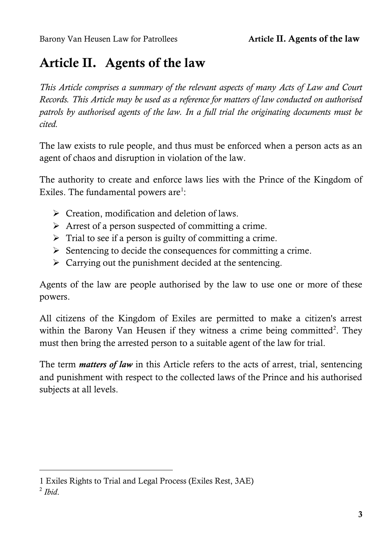# <span id="page-16-0"></span>**Article II. Agents of the law**

*This Article comprises a summary of the relevant aspects of many Acts of Law and Court Records. This Article may be used as a reference for matters of law conducted on authorised patrols by authorised agents of the law. In a full trial the originating documents must be cited.*

The law exists to rule people, and thus must be enforced when a person acts as an agent of chaos and disruption in violation of the law.

The authority to create and enforce laws lies with the Prince of the Kingdom of Exiles. The fundamental powers are<sup>1</sup>:

- $\triangleright$  Creation, modification and deletion of laws.
- $\triangleright$  Arrest of a person suspected of committing a crime.
- $\triangleright$  Trial to see if a person is guilty of committing a crime.
- $\triangleright$  Sentencing to decide the consequences for committing a crime.
- $\triangleright$  Carrying out the punishment decided at the sentencing.

Agents of the law are people authorised by the law to use one or more of these powers.

All citizens of the Kingdom of Exiles are permitted to make a citizen's arrest within the Barony Van Heusen if they witness a crime being committed<sup>2</sup>. They must then bring the arrested person to a suitable agent of the law for trial.

The term *matters of law* in this Article refers to the acts of arrest, trial, sentencing and punishment with respect to the collected laws of the Prince and his authorised subjects at all levels.

<sup>1</sup> Exiles Rights to Trial and Legal Process (Exiles Rest, 3AE)

<sup>2</sup> *Ibid*.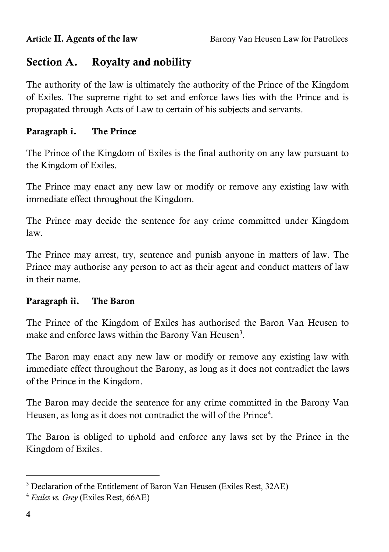### <span id="page-17-0"></span>**Section A. Royalty and nobility**

The authority of the law is ultimately the authority of the Prince of the Kingdom of Exiles. The supreme right to set and enforce laws lies with the Prince and is propagated through Acts of Law to certain of his subjects and servants.

### <span id="page-17-1"></span>**Paragraph i. The Prince**

The Prince of the Kingdom of Exiles is the final authority on any law pursuant to the Kingdom of Exiles.

The Prince may enact any new law or modify or remove any existing law with immediate effect throughout the Kingdom.

The Prince may decide the sentence for any crime committed under Kingdom law.

The Prince may arrest, try, sentence and punish anyone in matters of law. The Prince may authorise any person to act as their agent and conduct matters of law in their name.

### <span id="page-17-2"></span>**Paragraph ii. The Baron**

The Prince of the Kingdom of Exiles has authorised the Baron Van Heusen to make and enforce laws within the Barony Van Heusen<sup>3</sup>.

The Baron may enact any new law or modify or remove any existing law with immediate effect throughout the Barony, as long as it does not contradict the laws of the Prince in the Kingdom.

The Baron may decide the sentence for any crime committed in the Barony Van Heusen, as long as it does not contradict the will of the Prince<sup>4</sup>.

The Baron is obliged to uphold and enforce any laws set by the Prince in the Kingdom of Exiles.

<sup>3</sup> Declaration of the Entitlement of Baron Van Heusen (Exiles Rest, 32AE)

<sup>4</sup> *Exiles vs. Grey* (Exiles Rest, 66AE)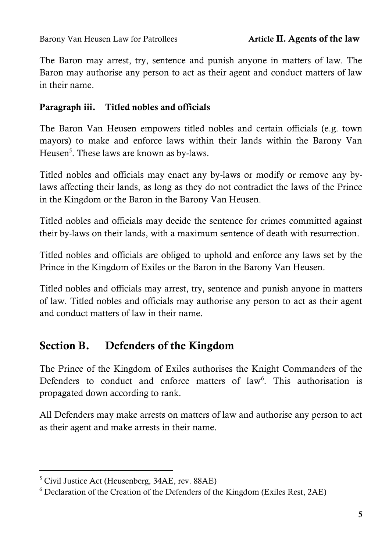The Baron may arrest, try, sentence and punish anyone in matters of law. The Baron may authorise any person to act as their agent and conduct matters of law in their name.

### <span id="page-18-0"></span>**Paragraph iii. Titled nobles and officials**

The Baron Van Heusen empowers titled nobles and certain officials (e.g. town mayors) to make and enforce laws within their lands within the Barony Van Heusen<sup>5</sup>. These laws are known as by-laws.

Titled nobles and officials may enact any by-laws or modify or remove any bylaws affecting their lands, as long as they do not contradict the laws of the Prince in the Kingdom or the Baron in the Barony Van Heusen.

Titled nobles and officials may decide the sentence for crimes committed against their by-laws on their lands, with a maximum sentence of death with resurrection.

Titled nobles and officials are obliged to uphold and enforce any laws set by the Prince in the Kingdom of Exiles or the Baron in the Barony Van Heusen.

Titled nobles and officials may arrest, try, sentence and punish anyone in matters of law. Titled nobles and officials may authorise any person to act as their agent and conduct matters of law in their name.

### <span id="page-18-1"></span>**Section B. Defenders of the Kingdom**

The Prince of the Kingdom of Exiles authorises the Knight Commanders of the Defenders to conduct and enforce matters of law<sup>6</sup>. This authorisation is propagated down according to rank.

All Defenders may make arrests on matters of law and authorise any person to act as their agent and make arrests in their name.

 $<sup>5</sup>$  Civil Justice Act (Heusenberg, 34AE, rev. 88AE)</sup>

 $6$  Declaration of the Creation of the Defenders of the Kingdom (Exiles Rest, 2AE)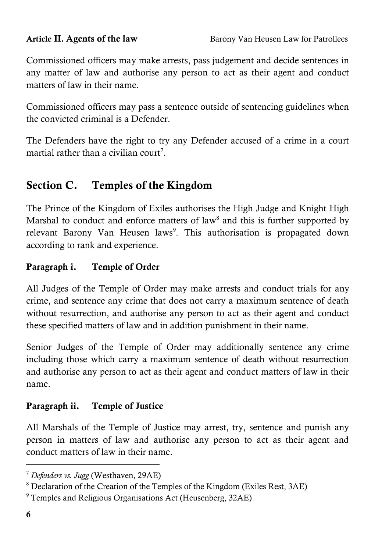Commissioned officers may make arrests, pass judgement and decide sentences in any matter of law and authorise any person to act as their agent and conduct matters of law in their name.

Commissioned officers may pass a sentence outside of sentencing guidelines when the convicted criminal is a Defender.

The Defenders have the right to try any Defender accused of a crime in a court martial rather than a civilian court<sup>7</sup>.

### <span id="page-19-0"></span>**Section C. Temples of the Kingdom**

The Prince of the Kingdom of Exiles authorises the High Judge and Knight High Marshal to conduct and enforce matters of law<sup>8</sup> and this is further supported by relevant Barony Van Heusen laws<sup>9</sup>. This authorisation is propagated down according to rank and experience.

### <span id="page-19-1"></span>**Paragraph i. Temple of Order**

All Judges of the Temple of Order may make arrests and conduct trials for any crime, and sentence any crime that does not carry a maximum sentence of death without resurrection, and authorise any person to act as their agent and conduct these specified matters of law and in addition punishment in their name.

Senior Judges of the Temple of Order may additionally sentence any crime including those which carry a maximum sentence of death without resurrection and authorise any person to act as their agent and conduct matters of law in their name.

### <span id="page-19-2"></span>**Paragraph ii. Temple of Justice**

All Marshals of the Temple of Justice may arrest, try, sentence and punish any person in matters of law and authorise any person to act as their agent and conduct matters of law in their name.

<sup>7</sup> *Defenders vs. Jugg* (Westhaven, 29AE)

<sup>8</sup> Declaration of the Creation of the Temples of the Kingdom (Exiles Rest, 3AE)

<sup>9</sup> Temples and Religious Organisations Act (Heusenberg, 32AE)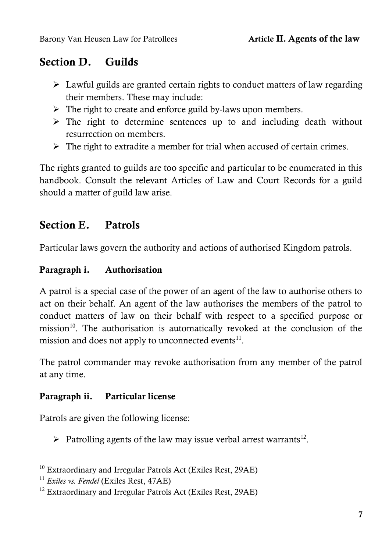### <span id="page-20-0"></span>**Section D. Guilds**

- $\triangleright$  Lawful guilds are granted certain rights to conduct matters of law regarding their members. These may include:
- $\triangleright$  The right to create and enforce guild by-laws upon members.
- $\triangleright$  The right to determine sentences up to and including death without resurrection on members.
- $\triangleright$  The right to extradite a member for trial when accused of certain crimes.

The rights granted to guilds are too specific and particular to be enumerated in this handbook. Consult the relevant Articles of Law and Court Records for a guild should a matter of guild law arise.

### <span id="page-20-1"></span>**Section E. Patrols**

Particular laws govern the authority and actions of authorised Kingdom patrols.

### <span id="page-20-2"></span>**Paragraph i. Authorisation**

A patrol is a special case of the power of an agent of the law to authorise others to act on their behalf. An agent of the law authorises the members of the patrol to conduct matters of law on their behalf with respect to a specified purpose or mission<sup>10</sup>. The authorisation is automatically revoked at the conclusion of the mission and does not apply to unconnected events $11$ .

The patrol commander may revoke authorisation from any member of the patrol at any time.

### <span id="page-20-3"></span>**Paragraph ii. Particular license**

Patrols are given the following license:

 $\triangleright$  Patrolling agents of the law may issue verbal arrest warrants<sup>12</sup>.

<sup>&</sup>lt;sup>10</sup> Extraordinary and Irregular Patrols Act (Exiles Rest, 29AE)

<sup>11</sup> *Exiles vs. Fendel* (Exiles Rest, 47AE)

 $12$  Extraordinary and Irregular Patrols Act (Exiles Rest, 29AE)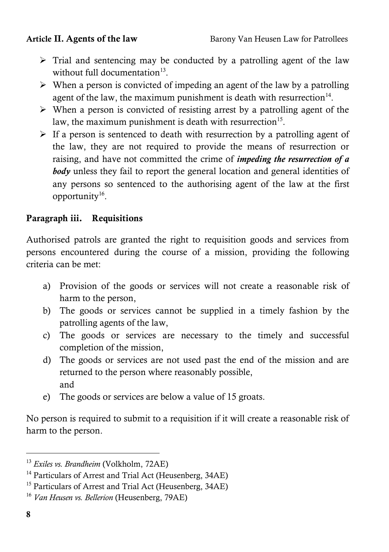- $\triangleright$  Trial and sentencing may be conducted by a patrolling agent of the law without full documentation<sup>13</sup>.
- $\triangleright$  When a person is convicted of impeding an agent of the law by a patrolling agent of the law, the maximum punishment is death with resurrection $14$ .
- $\triangleright$  When a person is convicted of resisting arrest by a patrolling agent of the law, the maximum punishment is death with resurrection<sup>15</sup>.
- $\triangleright$  If a person is sentenced to death with resurrection by a patrolling agent of the law, they are not required to provide the means of resurrection or raising, and have not committed the crime of *impeding the resurrection of a body* unless they fail to report the general location and general identities of any persons so sentenced to the authorising agent of the law at the first opportunity<sup>16</sup>.

### <span id="page-21-0"></span>**Paragraph iii. Requisitions**

Authorised patrols are granted the right to requisition goods and services from persons encountered during the course of a mission, providing the following criteria can be met:

- a) Provision of the goods or services will not create a reasonable risk of harm to the person,
- b) The goods or services cannot be supplied in a timely fashion by the patrolling agents of the law,
- c) The goods or services are necessary to the timely and successful completion of the mission,
- d) The goods or services are not used past the end of the mission and are returned to the person where reasonably possible, and
- e) The goods or services are below a value of 15 groats.

No person is required to submit to a requisition if it will create a reasonable risk of harm to the person.

<sup>13</sup> *Exiles vs. Brandheim* (Volkholm, 72AE)

<sup>&</sup>lt;sup>14</sup> Particulars of Arrest and Trial Act (Heusenberg, 34AE)

<sup>15</sup> Particulars of Arrest and Trial Act (Heusenberg, 34AE)

<sup>16</sup> *Van Heusen vs. Bellerion* (Heusenberg, 79AE)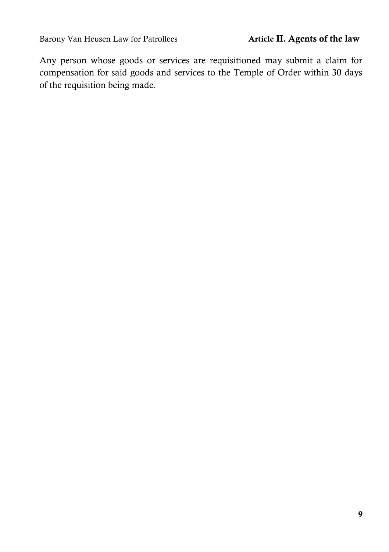Any person whose goods or services are requisitioned may submit a claim for compensation for said goods and services to the Temple of Order within 30 days of the requisition being made.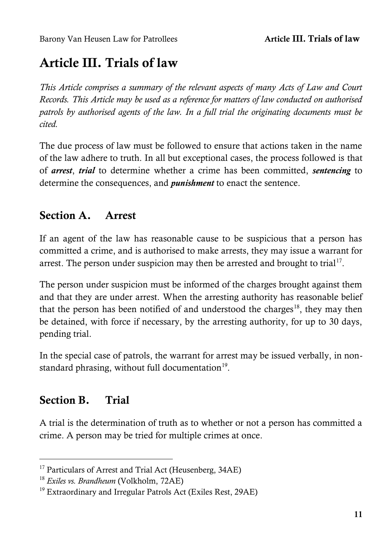## <span id="page-24-0"></span>**Article III. Trials of law**

*This Article comprises a summary of the relevant aspects of many Acts of Law and Court Records. This Article may be used as a reference for matters of law conducted on authorised patrols by authorised agents of the law. In a full trial the originating documents must be cited.* 

The due process of law must be followed to ensure that actions taken in the name of the law adhere to truth. In all but exceptional cases, the process followed is that of *arrest*, *trial* to determine whether a crime has been committed, *sentencing* to determine the consequences, and *punishment* to enact the sentence.

### <span id="page-24-1"></span>**Section A. Arrest**

If an agent of the law has reasonable cause to be suspicious that a person has committed a crime, and is authorised to make arrests, they may issue a warrant for arrest. The person under suspicion may then be arrested and brought to trial<sup>17</sup>.

The person under suspicion must be informed of the charges brought against them and that they are under arrest. When the arresting authority has reasonable belief that the person has been notified of and understood the charges<sup>18</sup>, they may then be detained, with force if necessary, by the arresting authority, for up to 30 days, pending trial.

In the special case of patrols, the warrant for arrest may be issued verbally, in nonstandard phrasing, without full documentation<sup>19</sup>.

### <span id="page-24-2"></span>**Section B. Trial**

l

A trial is the determination of truth as to whether or not a person has committed a crime. A person may be tried for multiple crimes at once.

<sup>&</sup>lt;sup>17</sup> Particulars of Arrest and Trial Act (Heusenberg, 34AE)

<sup>18</sup> *Exiles vs. Brandheum* (Volkholm, 72AE)

<sup>&</sup>lt;sup>19</sup> Extraordinary and Irregular Patrols Act (Exiles Rest, 29AE)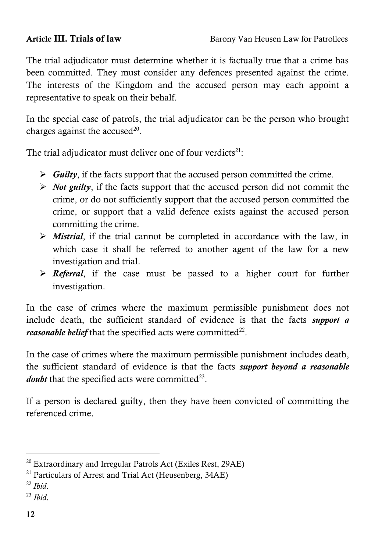The trial adjudicator must determine whether it is factually true that a crime has been committed. They must consider any defences presented against the crime. The interests of the Kingdom and the accused person may each appoint a representative to speak on their behalf.

In the special case of patrols, the trial adjudicator can be the person who brought charges against the accused<sup>20</sup>.

The trial adjudicator must deliver one of four verdicts $21$ :

- $\triangleright$  *Guilty*, if the facts support that the accused person committed the crime.
- *Not guilty*, if the facts support that the accused person did not commit the crime, or do not sufficiently support that the accused person committed the crime, or support that a valid defence exists against the accused person committing the crime.
- *Mistrial*, if the trial cannot be completed in accordance with the law, in which case it shall be referred to another agent of the law for a new investigation and trial.
- *Referral*, if the case must be passed to a higher court for further investigation.

In the case of crimes where the maximum permissible punishment does not include death, the sufficient standard of evidence is that the facts *support a*  reasonable belief that the specified acts were committed<sup>22</sup>.

In the case of crimes where the maximum permissible punishment includes death, the sufficient standard of evidence is that the facts *support beyond a reasonable*  doubt that the specified acts were committed<sup>23</sup>.

If a person is declared guilty, then they have been convicted of committing the referenced crime.

- <sup>22</sup> *Ibid*.
- <sup>23</sup> *Ibid*.

<sup>20</sup> Extraordinary and Irregular Patrols Act (Exiles Rest, 29AE)

<sup>&</sup>lt;sup>21</sup> Particulars of Arrest and Trial Act (Heusenberg, 34AE)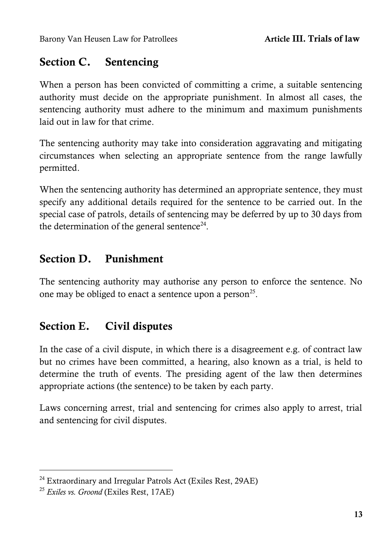### <span id="page-26-0"></span>**Section C. Sentencing**

When a person has been convicted of committing a crime, a suitable sentencing authority must decide on the appropriate punishment. In almost all cases, the sentencing authority must adhere to the minimum and maximum punishments laid out in law for that crime.

The sentencing authority may take into consideration aggravating and mitigating circumstances when selecting an appropriate sentence from the range lawfully permitted.

When the sentencing authority has determined an appropriate sentence, they must specify any additional details required for the sentence to be carried out. In the special case of patrols, details of sentencing may be deferred by up to 30 days from the determination of the general sentence<sup>24</sup>.

### <span id="page-26-1"></span>**Section D. Punishment**

The sentencing authority may authorise any person to enforce the sentence. No one may be obliged to enact a sentence upon a person<sup>25</sup>.

### <span id="page-26-2"></span>**Section E. Civil disputes**

In the case of a civil dispute, in which there is a disagreement e.g. of contract law but no crimes have been committed, a hearing, also known as a trial, is held to determine the truth of events. The presiding agent of the law then determines appropriate actions (the sentence) to be taken by each party.

Laws concerning arrest, trial and sentencing for crimes also apply to arrest, trial and sentencing for civil disputes.

 $24$  Extraordinary and Irregular Patrols Act (Exiles Rest, 29AE)

<sup>25</sup> *Exiles vs. Groond* (Exiles Rest, 17AE)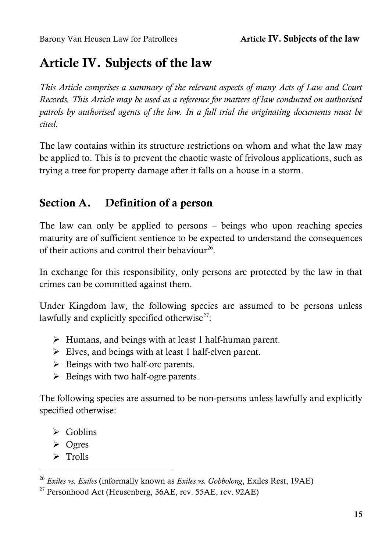## <span id="page-28-0"></span>**Article IV. Subjects of the law**

*This Article comprises a summary of the relevant aspects of many Acts of Law and Court Records. This Article may be used as a reference for matters of law conducted on authorised patrols by authorised agents of the law. In a full trial the originating documents must be cited.* 

The law contains within its structure restrictions on whom and what the law may be applied to. This is to prevent the chaotic waste of frivolous applications, such as trying a tree for property damage after it falls on a house in a storm.

### <span id="page-28-1"></span>**Section A. Definition of a person**

The law can only be applied to persons – beings who upon reaching species maturity are of sufficient sentience to be expected to understand the consequences of their actions and control their behaviour<sup>26</sup>.

In exchange for this responsibility, only persons are protected by the law in that crimes can be committed against them.

Under Kingdom law, the following species are assumed to be persons unless lawfully and explicitly specified otherwise $27$ :

- $\triangleright$  Humans, and beings with at least 1 half-human parent.
- $\triangleright$  Elves, and beings with at least 1 half-elven parent.
- $\triangleright$  Beings with two half-orc parents.
- $\triangleright$  Beings with two half-ogre parents.

The following species are assumed to be non-persons unless lawfully and explicitly specified otherwise:

- > Goblins
- $\triangleright$  Ogres
- $\triangleright$  Trolls

<sup>26</sup> *Exiles vs. Exiles* (informally known as *Exiles vs. Gobbolong*, Exiles Rest, 19AE)

 $27$  Personhood Act (Heusenberg, 36AE, rev. 55AE, rev. 92AE)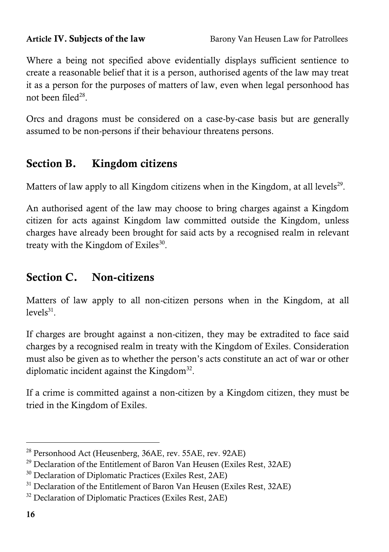Where a being not specified above evidentially displays sufficient sentience to create a reasonable belief that it is a person, authorised agents of the law may treat it as a person for the purposes of matters of law, even when legal personhood has not been filed<sup>28</sup>.

Orcs and dragons must be considered on a case-by-case basis but are generally assumed to be non-persons if their behaviour threatens persons.

### <span id="page-29-0"></span>**Section B. Kingdom citizens**

Matters of law apply to all Kingdom citizens when in the Kingdom, at all levels<sup>29</sup>.

An authorised agent of the law may choose to bring charges against a Kingdom citizen for acts against Kingdom law committed outside the Kingdom, unless charges have already been brought for said acts by a recognised realm in relevant treaty with the Kingdom of Exiles $^{30}$ .

### <span id="page-29-1"></span>**Section C. Non-citizens**

Matters of law apply to all non-citizen persons when in the Kingdom, at all  $levels^{31}$ .

If charges are brought against a non-citizen, they may be extradited to face said charges by a recognised realm in treaty with the Kingdom of Exiles. Consideration must also be given as to whether the person's acts constitute an act of war or other diplomatic incident against the Kingdom $32$ .

If a crime is committed against a non-citizen by a Kingdom citizen, they must be tried in the Kingdom of Exiles.

<sup>28</sup> Personhood Act (Heusenberg, 36AE, rev. 55AE, rev. 92AE)

 $29$  Declaration of the Entitlement of Baron Van Heusen (Exiles Rest, 32AE)

<sup>&</sup>lt;sup>30</sup> Declaration of Diplomatic Practices (Exiles Rest, 2AE)

 $31$  Declaration of the Entitlement of Baron Van Heusen (Exiles Rest, 32AE)

<sup>&</sup>lt;sup>32</sup> Declaration of Diplomatic Practices (Exiles Rest, 2AE)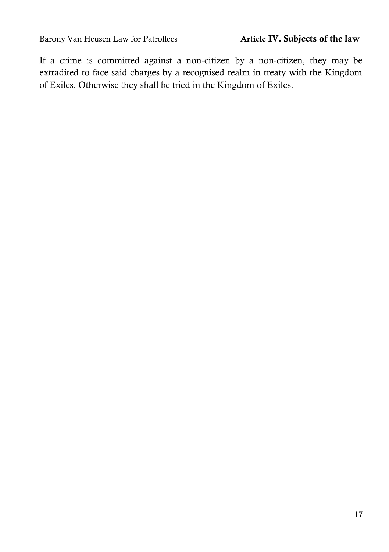If a crime is committed against a non-citizen by a non-citizen, they may be extradited to face said charges by a recognised realm in treaty with the Kingdom of Exiles. Otherwise they shall be tried in the Kingdom of Exiles.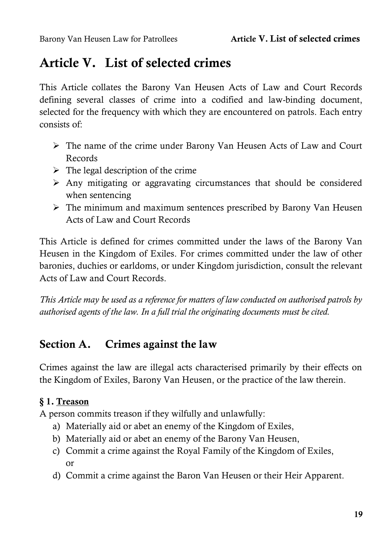## <span id="page-32-0"></span>**Article V. List of selected crimes**

This Article collates the Barony Van Heusen Acts of Law and Court Records defining several classes of crime into a codified and law-binding document, selected for the frequency with which they are encountered on patrols. Each entry consists of:

- $\triangleright$  The name of the crime under Barony Van Heusen Acts of Law and Court Records
- $\triangleright$  The legal description of the crime
- $\triangleright$  Any mitigating or aggravating circumstances that should be considered when sentencing
- The minimum and maximum sentences prescribed by Barony Van Heusen Acts of Law and Court Records

This Article is defined for crimes committed under the laws of the Barony Van Heusen in the Kingdom of Exiles. For crimes committed under the law of other baronies, duchies or earldoms, or under Kingdom jurisdiction, consult the relevant Acts of Law and Court Records.

*This Article may be used as a reference for matters of law conducted on authorised patrols by authorised agents of the law. In a full trial the originating documents must be cited.*

### <span id="page-32-1"></span>**Section A. Crimes against the law**

Crimes against the law are illegal acts characterised primarily by their effects on the Kingdom of Exiles, Barony Van Heusen, or the practice of the law therein.

### **§ 1. Treason**

A person commits treason if they wilfully and unlawfully:

- a) Materially aid or abet an enemy of the Kingdom of Exiles,
- b) Materially aid or abet an enemy of the Barony Van Heusen,
- c) Commit a crime against the Royal Family of the Kingdom of Exiles, or
- d) Commit a crime against the Baron Van Heusen or their Heir Apparent.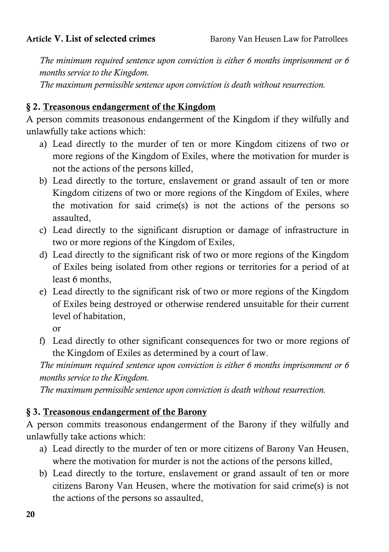*The minimum required sentence upon conviction is either 6 months imprisonment or 6 months service to the Kingdom.*

*The maximum permissible sentence upon conviction is death without resurrection.* 

### **§ 2. Treasonous endangerment of the Kingdom**

A person commits treasonous endangerment of the Kingdom if they wilfully and unlawfully take actions which:

- a) Lead directly to the murder of ten or more Kingdom citizens of two or more regions of the Kingdom of Exiles, where the motivation for murder is not the actions of the persons killed,
- b) Lead directly to the torture, enslavement or grand assault of ten or more Kingdom citizens of two or more regions of the Kingdom of Exiles, where the motivation for said crime(s) is not the actions of the persons so assaulted,
- c) Lead directly to the significant disruption or damage of infrastructure in two or more regions of the Kingdom of Exiles,
- d) Lead directly to the significant risk of two or more regions of the Kingdom of Exiles being isolated from other regions or territories for a period of at least 6 months,
- e) Lead directly to the significant risk of two or more regions of the Kingdom of Exiles being destroyed or otherwise rendered unsuitable for their current level of habitation,

or

f) Lead directly to other significant consequences for two or more regions of the Kingdom of Exiles as determined by a court of law.

*The minimum required sentence upon conviction is either 6 months imprisonment or 6 months service to the Kingdom.*

*The maximum permissible sentence upon conviction is death without resurrection.* 

### **§ 3. Treasonous endangerment of the Barony**

A person commits treasonous endangerment of the Barony if they wilfully and unlawfully take actions which:

- a) Lead directly to the murder of ten or more citizens of Barony Van Heusen, where the motivation for murder is not the actions of the persons killed,
- b) Lead directly to the torture, enslavement or grand assault of ten or more citizens Barony Van Heusen, where the motivation for said crime(s) is not the actions of the persons so assaulted,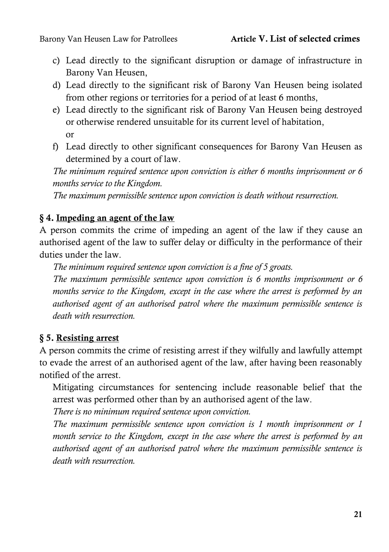- c) Lead directly to the significant disruption or damage of infrastructure in Barony Van Heusen,
- d) Lead directly to the significant risk of Barony Van Heusen being isolated from other regions or territories for a period of at least 6 months,
- e) Lead directly to the significant risk of Barony Van Heusen being destroyed or otherwise rendered unsuitable for its current level of habitation, or
- f) Lead directly to other significant consequences for Barony Van Heusen as determined by a court of law.

*The minimum required sentence upon conviction is either 6 months imprisonment or 6 months service to the Kingdom.*

*The maximum permissible sentence upon conviction is death without resurrection.* 

### **§ 4. Impeding an agent of the law**

A person commits the crime of impeding an agent of the law if they cause an authorised agent of the law to suffer delay or difficulty in the performance of their duties under the law.

*The minimum required sentence upon conviction is a fine of 5 groats.*

*The maximum permissible sentence upon conviction is 6 months imprisonment or 6 months service to the Kingdom, except in the case where the arrest is performed by an authorised agent of an authorised patrol where the maximum permissible sentence is death with resurrection.*

### **§ 5. Resisting arrest**

A person commits the crime of resisting arrest if they wilfully and lawfully attempt to evade the arrest of an authorised agent of the law, after having been reasonably notified of the arrest.

Mitigating circumstances for sentencing include reasonable belief that the arrest was performed other than by an authorised agent of the law.

*There is no minimum required sentence upon conviction.*

*The maximum permissible sentence upon conviction is 1 month imprisonment or 1 month service to the Kingdom, except in the case where the arrest is performed by an authorised agent of an authorised patrol where the maximum permissible sentence is death with resurrection.*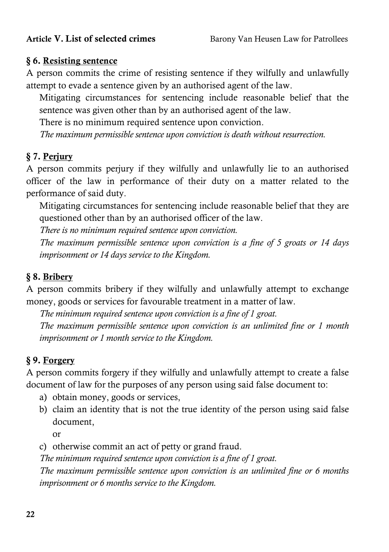### **§ 6. Resisting sentence**

A person commits the crime of resisting sentence if they wilfully and unlawfully attempt to evade a sentence given by an authorised agent of the law.

Mitigating circumstances for sentencing include reasonable belief that the sentence was given other than by an authorised agent of the law.

There is no minimum required sentence upon conviction.

*The maximum permissible sentence upon conviction is death without resurrection.*

### **§ 7. Perjury**

A person commits perjury if they wilfully and unlawfully lie to an authorised officer of the law in performance of their duty on a matter related to the performance of said duty.

Mitigating circumstances for sentencing include reasonable belief that they are questioned other than by an authorised officer of the law.

*There is no minimum required sentence upon conviction.*

*The maximum permissible sentence upon conviction is a fine of 5 groats or 14 days imprisonment or 14 days service to the Kingdom.*

### **§ 8. Bribery**

A person commits bribery if they wilfully and unlawfully attempt to exchange money, goods or services for favourable treatment in a matter of law.

*The minimum required sentence upon conviction is a fine of 1 groat.*

*The maximum permissible sentence upon conviction is an unlimited fine or 1 month imprisonment or 1 month service to the Kingdom.*

### **§ 9. Forgery**

A person commits forgery if they wilfully and unlawfully attempt to create a false document of law for the purposes of any person using said false document to:

- a) obtain money, goods or services,
- b) claim an identity that is not the true identity of the person using said false document,

or

c) otherwise commit an act of petty or grand fraud.

*The minimum required sentence upon conviction is a fine of 1 groat.*

*The maximum permissible sentence upon conviction is an unlimited fine or 6 months imprisonment or 6 months service to the Kingdom.*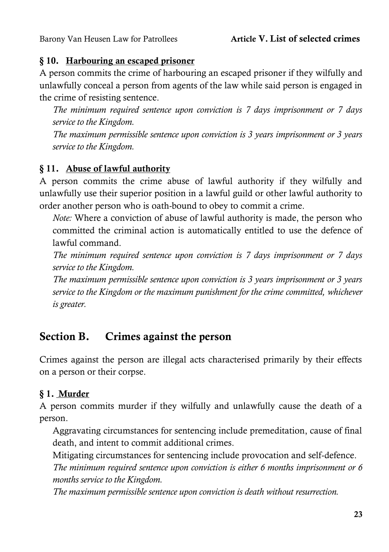#### **§ 10. Harbouring an escaped prisoner**

A person commits the crime of harbouring an escaped prisoner if they wilfully and unlawfully conceal a person from agents of the law while said person is engaged in the crime of resisting sentence.

*The minimum required sentence upon conviction is 7 days imprisonment or 7 days service to the Kingdom.*

*The maximum permissible sentence upon conviction is 3 years imprisonment or 3 years service to the Kingdom.*

#### **§ 11. Abuse of lawful authority**

A person commits the crime abuse of lawful authority if they wilfully and unlawfully use their superior position in a lawful guild or other lawful authority to order another person who is oath-bound to obey to commit a crime.

*Note:* Where a conviction of abuse of lawful authority is made, the person who committed the criminal action is automatically entitled to use the defence of lawful command.

*The minimum required sentence upon conviction is 7 days imprisonment or 7 days service to the Kingdom.*

*The maximum permissible sentence upon conviction is 3 years imprisonment or 3 years service to the Kingdom or the maximum punishment for the crime committed, whichever is greater.*

# **Section B. Crimes against the person**

Crimes against the person are illegal acts characterised primarily by their effects on a person or their corpse.

#### **§ 1. Murder**

A person commits murder if they wilfully and unlawfully cause the death of a person.

Aggravating circumstances for sentencing include premeditation, cause of final death, and intent to commit additional crimes.

Mitigating circumstances for sentencing include provocation and self-defence.

*The minimum required sentence upon conviction is either 6 months imprisonment or 6 months service to the Kingdom.*

*The maximum permissible sentence upon conviction is death without resurrection.*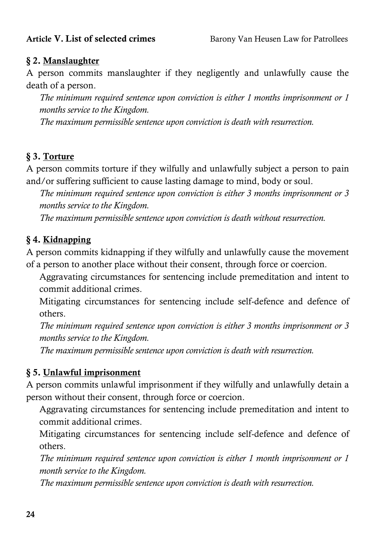# **§ 2. Manslaughter**

A person commits manslaughter if they negligently and unlawfully cause the death of a person.

*The minimum required sentence upon conviction is either 1 months imprisonment or 1 months service to the Kingdom.*

*The maximum permissible sentence upon conviction is death with resurrection.* 

# **§ 3. Torture**

A person commits torture if they wilfully and unlawfully subject a person to pain and/or suffering sufficient to cause lasting damage to mind, body or soul.

*The minimum required sentence upon conviction is either 3 months imprisonment or 3 months service to the Kingdom.*

*The maximum permissible sentence upon conviction is death without resurrection.*

# **§ 4. Kidnapping**

A person commits kidnapping if they wilfully and unlawfully cause the movement of a person to another place without their consent, through force or coercion.

Aggravating circumstances for sentencing include premeditation and intent to commit additional crimes.

Mitigating circumstances for sentencing include self-defence and defence of others.

*The minimum required sentence upon conviction is either 3 months imprisonment or 3 months service to the Kingdom.*

*The maximum permissible sentence upon conviction is death with resurrection.*

# **§ 5. Unlawful imprisonment**

A person commits unlawful imprisonment if they wilfully and unlawfully detain a person without their consent, through force or coercion.

Aggravating circumstances for sentencing include premeditation and intent to commit additional crimes.

Mitigating circumstances for sentencing include self-defence and defence of others.

*The minimum required sentence upon conviction is either 1 month imprisonment or 1 month service to the Kingdom.*

*The maximum permissible sentence upon conviction is death with resurrection.*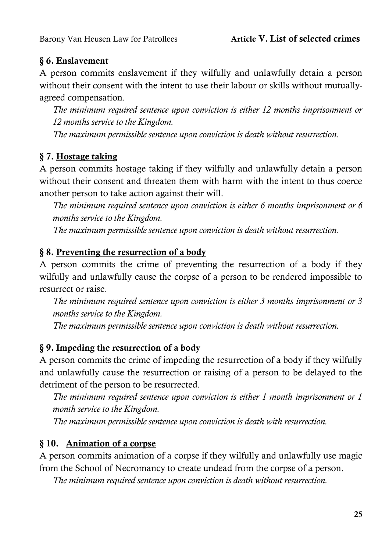#### **§ 6. Enslavement**

A person commits enslavement if they wilfully and unlawfully detain a person without their consent with the intent to use their labour or skills without mutuallyagreed compensation.

*The minimum required sentence upon conviction is either 12 months imprisonment or 12 months service to the Kingdom.*

*The maximum permissible sentence upon conviction is death without resurrection.*

### **§ 7. Hostage taking**

A person commits hostage taking if they wilfully and unlawfully detain a person without their consent and threaten them with harm with the intent to thus coerce another person to take action against their will.

*The minimum required sentence upon conviction is either 6 months imprisonment or 6 months service to the Kingdom.*

*The maximum permissible sentence upon conviction is death without resurrection.*

#### **§ 8. Preventing the resurrection of a body**

A person commits the crime of preventing the resurrection of a body if they wilfully and unlawfully cause the corpse of a person to be rendered impossible to resurrect or raise.

*The minimum required sentence upon conviction is either 3 months imprisonment or 3 months service to the Kingdom.*

*The maximum permissible sentence upon conviction is death without resurrection.*

#### **§ 9. Impeding the resurrection of a body**

A person commits the crime of impeding the resurrection of a body if they wilfully and unlawfully cause the resurrection or raising of a person to be delayed to the detriment of the person to be resurrected.

*The minimum required sentence upon conviction is either 1 month imprisonment or 1 month service to the Kingdom.*

*The maximum permissible sentence upon conviction is death with resurrection.*

#### **§ 10. Animation of a corpse**

A person commits animation of a corpse if they wilfully and unlawfully use magic from the School of Necromancy to create undead from the corpse of a person.

*The minimum required sentence upon conviction is death without resurrection.*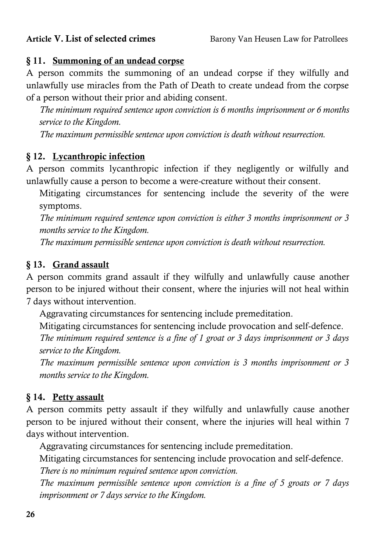#### Article **V**. List of selected crimes Barony Van Heusen Law for Patrollees

#### **§ 11. Summoning of an undead corpse**

A person commits the summoning of an undead corpse if they wilfully and unlawfully use miracles from the Path of Death to create undead from the corpse of a person without their prior and abiding consent.

*The minimum required sentence upon conviction is 6 months imprisonment or 6 months service to the Kingdom.*

*The maximum permissible sentence upon conviction is death without resurrection.*

### **§ 12. Lycanthropic infection**

A person commits lycanthropic infection if they negligently or wilfully and unlawfully cause a person to become a were-creature without their consent.

Mitigating circumstances for sentencing include the severity of the were symptoms.

*The minimum required sentence upon conviction is either 3 months imprisonment or 3 months service to the Kingdom.*

*The maximum permissible sentence upon conviction is death without resurrection.*

### **§ 13. Grand assault**

A person commits grand assault if they wilfully and unlawfully cause another person to be injured without their consent, where the injuries will not heal within 7 days without intervention.

Aggravating circumstances for sentencing include premeditation.

Mitigating circumstances for sentencing include provocation and self-defence.

*The minimum required sentence is a fine of 1 groat or 3 days imprisonment or 3 days service to the Kingdom.*

*The maximum permissible sentence upon conviction is 3 months imprisonment or 3 months service to the Kingdom.*

#### **§ 14. Petty assault**

A person commits petty assault if they wilfully and unlawfully cause another person to be injured without their consent, where the injuries will heal within 7 days without intervention.

Aggravating circumstances for sentencing include premeditation.

Mitigating circumstances for sentencing include provocation and self-defence. *There is no minimum required sentence upon conviction.*

*The maximum permissible sentence upon conviction is a fine of 5 groats or 7 days imprisonment or 7 days service to the Kingdom.*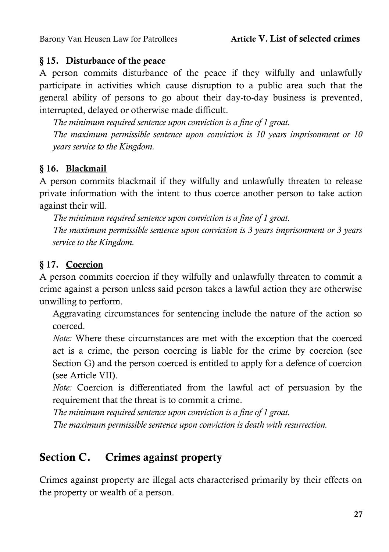#### **§ 15. Disturbance of the peace**

A person commits disturbance of the peace if they wilfully and unlawfully participate in activities which cause disruption to a public area such that the general ability of persons to go about their day-to-day business is prevented, interrupted, delayed or otherwise made difficult.

*The minimum required sentence upon conviction is a fine of 1 groat. The maximum permissible sentence upon conviction is 10 years imprisonment or 10 years service to the Kingdom.*

#### **§ 16. Blackmail**

A person commits blackmail if they wilfully and unlawfully threaten to release private information with the intent to thus coerce another person to take action against their will.

*The minimum required sentence upon conviction is a fine of 1 groat. The maximum permissible sentence upon conviction is 3 years imprisonment or 3 years service to the Kingdom.*

### **§ 17. Coercion**

A person commits coercion if they wilfully and unlawfully threaten to commit a crime against a person unless said person takes a lawful action they are otherwise unwilling to perform.

Aggravating circumstances for sentencing include the nature of the action so coerced.

*Note:* Where these circumstances are met with the exception that the coerced act is a crime, the person coercing is liable for the crime by coercion (see [Section G\)](#page-47-0) and the person coerced is entitled to apply for a defence of coercion (see [Article VII\)](#page-52-0).

*Note:* Coercion is differentiated from the lawful act of persuasion by the requirement that the threat is to commit a crime.

*The minimum required sentence upon conviction is a fine of 1 groat.*

*The maximum permissible sentence upon conviction is death with resurrection.*

# **Section C. Crimes against property**

Crimes against property are illegal acts characterised primarily by their effects on the property or wealth of a person.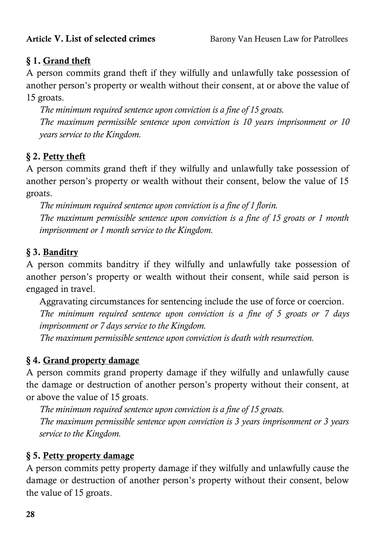# **§ 1. Grand theft**

A person commits grand theft if they wilfully and unlawfully take possession of another person's property or wealth without their consent, at or above the value of 15 groats.

*The minimum required sentence upon conviction is a fine of 15 groats. The maximum permissible sentence upon conviction is 10 years imprisonment or 10 years service to the Kingdom.*

# **§ 2. Petty theft**

A person commits grand theft if they wilfully and unlawfully take possession of another person's property or wealth without their consent, below the value of 15 groats.

*The minimum required sentence upon conviction is a fine of 1 florin. The maximum permissible sentence upon conviction is a fine of 15 groats or 1 month imprisonment or 1 month service to the Kingdom.*

# **§ 3. Banditry**

A person commits banditry if they wilfully and unlawfully take possession of another person's property or wealth without their consent, while said person is engaged in travel.

Aggravating circumstances for sentencing include the use of force or coercion. *The minimum required sentence upon conviction is a fine of 5 groats or 7 days imprisonment or 7 days service to the Kingdom.*

*The maximum permissible sentence upon conviction is death with resurrection.*

## **§ 4. Grand property damage**

A person commits grand property damage if they wilfully and unlawfully cause the damage or destruction of another person's property without their consent, at or above the value of 15 groats.

*The minimum required sentence upon conviction is a fine of 15 groats. The maximum permissible sentence upon conviction is 3 years imprisonment or 3 years service to the Kingdom.*

## **§ 5. Petty property damage**

A person commits petty property damage if they wilfully and unlawfully cause the damage or destruction of another person's property without their consent, below the value of 15 groats.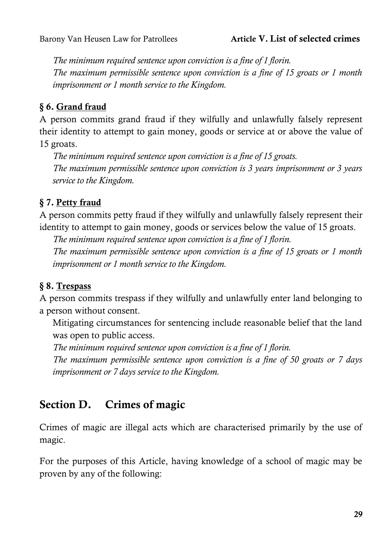*The minimum required sentence upon conviction is a fine of 1 florin. The maximum permissible sentence upon conviction is a fine of 15 groats or 1 month imprisonment or 1 month service to the Kingdom.*

# **§ 6. Grand fraud**

A person commits grand fraud if they wilfully and unlawfully falsely represent their identity to attempt to gain money, goods or service at or above the value of 15 groats.

*The minimum required sentence upon conviction is a fine of 15 groats. The maximum permissible sentence upon conviction is 3 years imprisonment or 3 years service to the Kingdom.*

# **§ 7. Petty fraud**

A person commits petty fraud if they wilfully and unlawfully falsely represent their identity to attempt to gain money, goods or services below the value of 15 groats.

*The minimum required sentence upon conviction is a fine of 1 florin.*

*The maximum permissible sentence upon conviction is a fine of 15 groats or 1 month imprisonment or 1 month service to the Kingdom.*

# <span id="page-42-0"></span>**§ 8. Trespass**

A person commits trespass if they wilfully and unlawfully enter land belonging to a person without consent.

Mitigating circumstances for sentencing include reasonable belief that the land was open to public access.

*The minimum required sentence upon conviction is a fine of 1 florin.*

*The maximum permissible sentence upon conviction is a fine of 50 groats or 7 days imprisonment or 7 days service to the Kingdom.*

# **Section D. Crimes of magic**

Crimes of magic are illegal acts which are characterised primarily by the use of magic.

For the purposes of this Article, having knowledge of a school of magic may be proven by any of the following: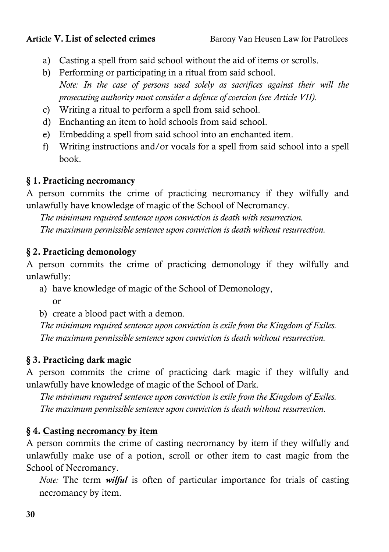#### **Article V. List of selected crimes** Barony Van Heusen Law for Patrollees

- a) Casting a spell from said school without the aid of items or scrolls.
- b) Performing or participating in a ritual from said school. *Note: In the case of persons used solely as sacrifices against their will the prosecuting authority must consider a defence of coercion (see [Article VII\)](#page-52-0).*
- c) Writing a ritual to perform a spell from said school.
- d) Enchanting an item to hold schools from said school.
- e) Embedding a spell from said school into an enchanted item.
- f) Writing instructions and/or vocals for a spell from said school into a spell book.

#### **§ 1. Practicing necromancy**

A person commits the crime of practicing necromancy if they wilfully and unlawfully have knowledge of magic of the School of Necromancy.

*The minimum required sentence upon conviction is death with resurrection. The maximum permissible sentence upon conviction is death without resurrection.*

### **§ 2. Practicing demonology**

A person commits the crime of practicing demonology if they wilfully and unlawfully:

- a) have knowledge of magic of the School of Demonology, or
- b) create a blood pact with a demon.

*The minimum required sentence upon conviction is exile from the Kingdom of Exiles. The maximum permissible sentence upon conviction is death without resurrection.*

## **§ 3. Practicing dark magic**

A person commits the crime of practicing dark magic if they wilfully and unlawfully have knowledge of magic of the School of Dark.

*The minimum required sentence upon conviction is exile from the Kingdom of Exiles. The maximum permissible sentence upon conviction is death without resurrection.*

#### **§ 4. Casting necromancy by item**

A person commits the crime of casting necromancy by item if they wilfully and unlawfully make use of a potion, scroll or other item to cast magic from the School of Necromancy.

*Note:* The term *wilful* is often of particular importance for trials of casting necromancy by item.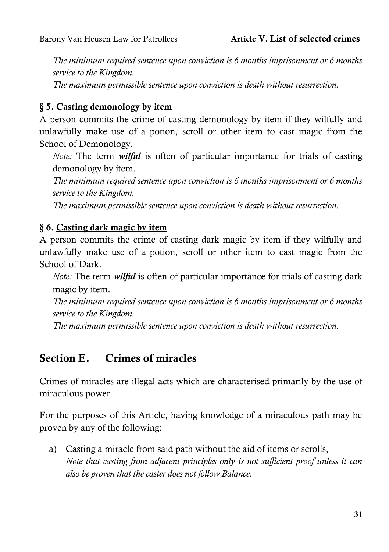*The minimum required sentence upon conviction is 6 months imprisonment or 6 months service to the Kingdom.*

*The maximum permissible sentence upon conviction is death without resurrection.*

### **§ 5. Casting demonology by item**

A person commits the crime of casting demonology by item if they wilfully and unlawfully make use of a potion, scroll or other item to cast magic from the School of Demonology.

*Note:* The term *wilful* is often of particular importance for trials of casting demonology by item.

*The minimum required sentence upon conviction is 6 months imprisonment or 6 months service to the Kingdom.*

*The maximum permissible sentence upon conviction is death without resurrection.*

#### **§ 6. Casting dark magic by item**

A person commits the crime of casting dark magic by item if they wilfully and unlawfully make use of a potion, scroll or other item to cast magic from the School of Dark.

*Note:* The term *wilful* is often of particular importance for trials of casting dark magic by item.

*The minimum required sentence upon conviction is 6 months imprisonment or 6 months service to the Kingdom.*

*The maximum permissible sentence upon conviction is death without resurrection.*

# **Section E. Crimes of miracles**

Crimes of miracles are illegal acts which are characterised primarily by the use of miraculous power.

For the purposes of this Article, having knowledge of a miraculous path may be proven by any of the following:

a) Casting a miracle from said path without the aid of items or scrolls, *Note that casting from adjacent principles only is not sufficient proof unless it can also be proven that the caster does not follow Balance.*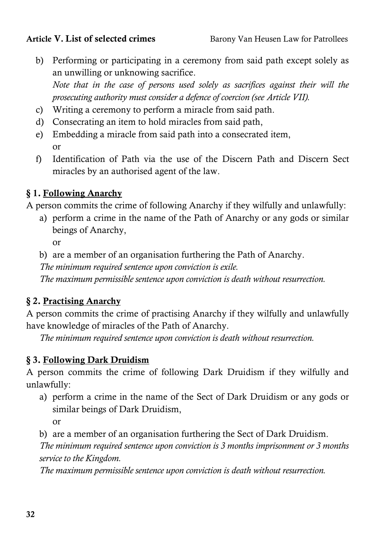#### **Article V. List of selected crimes** Barony Van Heusen Law for Patrollees

- b) Performing or participating in a ceremony from said path except solely as an unwilling or unknowing sacrifice. *Note that in the case of persons used solely as sacrifices against their will the prosecuting authority must consider a defence of coercion (see [Article VII\)](#page-52-0).*
- c) Writing a ceremony to perform a miracle from said path.
- d) Consecrating an item to hold miracles from said path,
- e) Embedding a miracle from said path into a consecrated item, or
- f) Identification of Path via the use of the Discern Path and Discern Sect miracles by an authorised agent of the law.

# **§ 1. Following Anarchy**

A person commits the crime of following Anarchy if they wilfully and unlawfully:

a) perform a crime in the name of the Path of Anarchy or any gods or similar beings of Anarchy,

or

b) are a member of an organisation furthering the Path of Anarchy.

*The minimum required sentence upon conviction is exile.*

*The maximum permissible sentence upon conviction is death without resurrection.*

# **§ 2. Practising Anarchy**

A person commits the crime of practising Anarchy if they wilfully and unlawfully have knowledge of miracles of the Path of Anarchy.

*The minimum required sentence upon conviction is death without resurrection.*

# **§ 3. Following Dark Druidism**

A person commits the crime of following Dark Druidism if they wilfully and unlawfully:

a) perform a crime in the name of the Sect of Dark Druidism or any gods or similar beings of Dark Druidism,

or

b) are a member of an organisation furthering the Sect of Dark Druidism.

*The minimum required sentence upon conviction is 3 months imprisonment or 3 months service to the Kingdom.*

*The maximum permissible sentence upon conviction is death without resurrection.*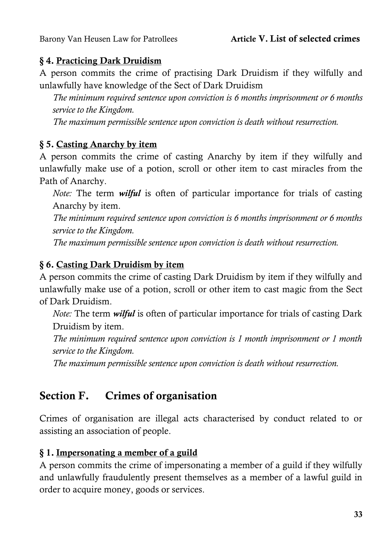### **§ 4. Practicing Dark Druidism**

A person commits the crime of practising Dark Druidism if they wilfully and unlawfully have knowledge of the Sect of Dark Druidism

*The minimum required sentence upon conviction is 6 months imprisonment or 6 months service to the Kingdom.*

*The maximum permissible sentence upon conviction is death without resurrection.*

#### **§ 5. Casting Anarchy by item**

A person commits the crime of casting Anarchy by item if they wilfully and unlawfully make use of a potion, scroll or other item to cast miracles from the Path of Anarchy.

*Note:* The term *wilful* is often of particular importance for trials of casting Anarchy by item.

*The minimum required sentence upon conviction is 6 months imprisonment or 6 months service to the Kingdom.*

*The maximum permissible sentence upon conviction is death without resurrection.*

#### **§ 6. Casting Dark Druidism by item**

A person commits the crime of casting Dark Druidism by item if they wilfully and unlawfully make use of a potion, scroll or other item to cast magic from the Sect of Dark Druidism.

*Note:* The term *wilful* is often of particular importance for trials of casting Dark Druidism by item.

*The minimum required sentence upon conviction is 1 month imprisonment or 1 month service to the Kingdom.*

*The maximum permissible sentence upon conviction is death without resurrection.*

# <span id="page-46-0"></span>**Section F. Crimes of organisation**

Crimes of organisation are illegal acts characterised by conduct related to or assisting an association of people.

#### **§ 1. Impersonating a member of a guild**

A person commits the crime of impersonating a member of a guild if they wilfully and unlawfully fraudulently present themselves as a member of a lawful guild in order to acquire money, goods or services.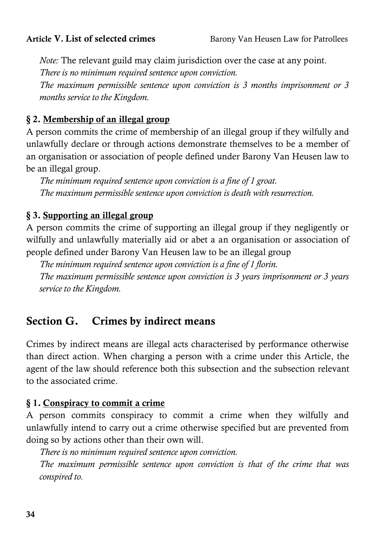#### Article **V**. List of selected crimes Barony Van Heusen Law for Patrollees

*Note:* The relevant guild may claim jurisdiction over the case at any point.

*There is no minimum required sentence upon conviction.*

*The maximum permissible sentence upon conviction is 3 months imprisonment or 3 months service to the Kingdom.*

#### **§ 2. Membership of an illegal group**

A person commits the crime of membership of an illegal group if they wilfully and unlawfully declare or through actions demonstrate themselves to be a member of an organisation or association of people defined under Barony Van Heusen law to be an illegal group.

*The minimum required sentence upon conviction is a fine of 1 groat. The maximum permissible sentence upon conviction is death with resurrection.*

## **§ 3. Supporting an illegal group**

A person commits the crime of supporting an illegal group if they negligently or wilfully and unlawfully materially aid or abet a an organisation or association of people defined under Barony Van Heusen law to be an illegal group

*The minimum required sentence upon conviction is a fine of 1 florin. The maximum permissible sentence upon conviction is 3 years imprisonment or 3 years service to the Kingdom.*

# <span id="page-47-0"></span>**Section G. Crimes by indirect means**

Crimes by indirect means are illegal acts characterised by performance otherwise than direct action. When charging a person with a crime under this Article, the agent of the law should reference both this subsection and the subsection relevant to the associated crime.

## **§ 1. Conspiracy to commit a crime**

A person commits conspiracy to commit a crime when they wilfully and unlawfully intend to carry out a crime otherwise specified but are prevented from doing so by actions other than their own will.

*There is no minimum required sentence upon conviction. The maximum permissible sentence upon conviction is that of the crime that was conspired to.*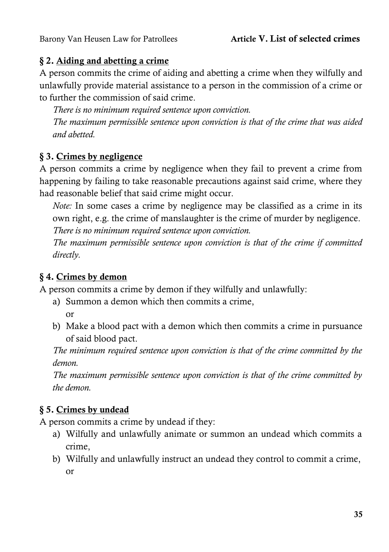### **§ 2. Aiding and abetting a crime**

A person commits the crime of aiding and abetting a crime when they wilfully and unlawfully provide material assistance to a person in the commission of a crime or to further the commission of said crime.

*There is no minimum required sentence upon conviction. The maximum permissible sentence upon conviction is that of the crime that was aided and abetted.*

## **§ 3. Crimes by negligence**

A person commits a crime by negligence when they fail to prevent a crime from happening by failing to take reasonable precautions against said crime, where they had reasonable belief that said crime might occur.

*Note:* In some cases a crime by negligence may be classified as a crime in its own right, e.g. the crime of manslaughter is the crime of murder by negligence. *There is no minimum required sentence upon conviction.*

*The maximum permissible sentence upon conviction is that of the crime if committed directly.*

#### **§ 4. Crimes by demon**

A person commits a crime by demon if they wilfully and unlawfully:

- a) Summon a demon which then commits a crime, or
- b) Make a blood pact with a demon which then commits a crime in pursuance of said blood pact.

*The minimum required sentence upon conviction is that of the crime committed by the demon.*

*The maximum permissible sentence upon conviction is that of the crime committed by the demon.*

## **§ 5. Crimes by undead**

A person commits a crime by undead if they:

- a) Wilfully and unlawfully animate or summon an undead which commits a crime,
- b) Wilfully and unlawfully instruct an undead they control to commit a crime, or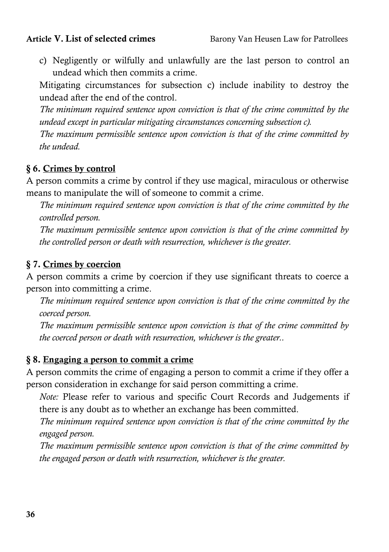#### **Article V. List of selected crimes** Barony Van Heusen Law for Patrollees

c) Negligently or wilfully and unlawfully are the last person to control an undead which then commits a crime.

Mitigating circumstances for subsection c) include inability to destroy the undead after the end of the control.

*The minimum required sentence upon conviction is that of the crime committed by the undead except in particular mitigating circumstances concerning subsection c).*

*The maximum permissible sentence upon conviction is that of the crime committed by the undead.*

### **§ 6. Crimes by control**

A person commits a crime by control if they use magical, miraculous or otherwise means to manipulate the will of someone to commit a crime.

*The minimum required sentence upon conviction is that of the crime committed by the controlled person.*

*The maximum permissible sentence upon conviction is that of the crime committed by the controlled person or death with resurrection, whichever is the greater.*

#### **§ 7. Crimes by coercion**

A person commits a crime by coercion if they use significant threats to coerce a person into committing a crime.

*The minimum required sentence upon conviction is that of the crime committed by the coerced person.*

*The maximum permissible sentence upon conviction is that of the crime committed by the coerced person or death with resurrection, whichever is the greater..*

#### **§ 8. Engaging a person to commit a crime**

A person commits the crime of engaging a person to commit a crime if they offer a person consideration in exchange for said person committing a crime.

*Note:* Please refer to various and specific Court Records and Judgements if there is any doubt as to whether an exchange has been committed.

*The minimum required sentence upon conviction is that of the crime committed by the engaged person.*

*The maximum permissible sentence upon conviction is that of the crime committed by the engaged person or death with resurrection, whichever is the greater.*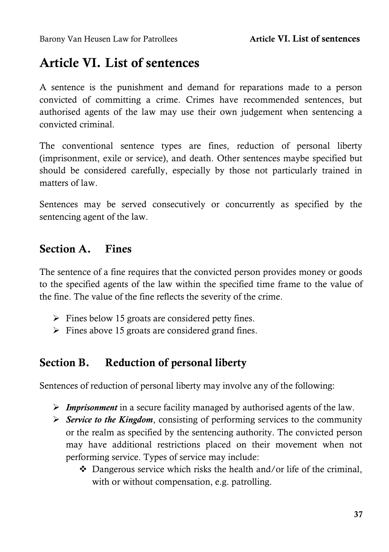# **Article VI. List of sentences**

A sentence is the punishment and demand for reparations made to a person convicted of committing a crime. Crimes have recommended sentences, but authorised agents of the law may use their own judgement when sentencing a convicted criminal.

The conventional sentence types are fines, reduction of personal liberty (imprisonment, exile or service), and death. Other sentences maybe specified but should be considered carefully, especially by those not particularly trained in matters of law.

Sentences may be served consecutively or concurrently as specified by the sentencing agent of the law.

# **Section A. Fines**

The sentence of a fine requires that the convicted person provides money or goods to the specified agents of the law within the specified time frame to the value of the fine. The value of the fine reflects the severity of the crime.

- $\triangleright$  Fines below 15 groats are considered petty fines.
- $\triangleright$  Fines above 15 groats are considered grand fines.

# **Section B. Reduction of personal liberty**

Sentences of reduction of personal liberty may involve any of the following:

- *Imprisonment* in a secure facility managed by authorised agents of the law.
- *Service to the Kingdom*, consisting of performing services to the community or the realm as specified by the sentencing authority. The convicted person may have additional restrictions placed on their movement when not performing service. Types of service may include:
	- $\triangleleft$  Dangerous service which risks the health and/or life of the criminal, with or without compensation, e.g. patrolling.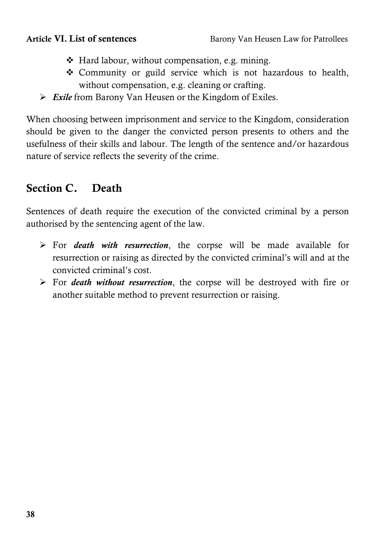- $\div$  Hard labour, without compensation, e.g. mining.
- Community or guild service which is not hazardous to health, without compensation, e.g. cleaning or crafting.
- *Exile* from Barony Van Heusen or the Kingdom of Exiles.

When choosing between imprisonment and service to the Kingdom, consideration should be given to the danger the convicted person presents to others and the usefulness of their skills and labour. The length of the sentence and/or hazardous nature of service reflects the severity of the crime.

# **Section C. Death**

Sentences of death require the execution of the convicted criminal by a person authorised by the sentencing agent of the law.

- For *death with resurrection*, the corpse will be made available for resurrection or raising as directed by the convicted criminal's will and at the convicted criminal's cost.
- For *death without resurrection*, the corpse will be destroyed with fire or another suitable method to prevent resurrection or raising.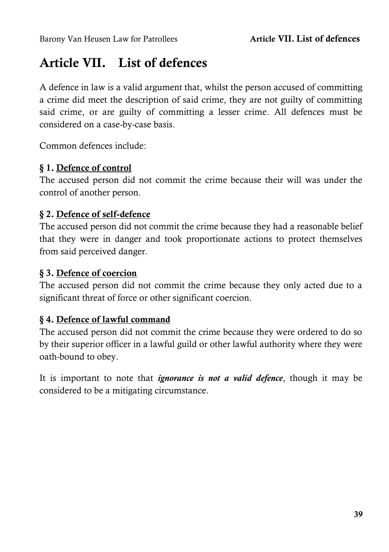# <span id="page-52-0"></span>**Article VII. List of defences**

A defence in law is a valid argument that, whilst the person accused of committing a crime did meet the description of said crime, they are not guilty of committing said crime, or are guilty of committing a lesser crime. All defences must be considered on a case-by-case basis.

Common defences include:

#### **§ 1. Defence of control**

The accused person did not commit the crime because their will was under the control of another person.

#### **§ 2. Defence of self-defence**

The accused person did not commit the crime because they had a reasonable belief that they were in danger and took proportionate actions to protect themselves from said perceived danger.

#### **§ 3. Defence of coercion**

The accused person did not commit the crime because they only acted due to a significant threat of force or other significant coercion.

#### **§ 4. Defence of lawful command**

The accused person did not commit the crime because they were ordered to do so by their superior officer in a lawful guild or other lawful authority where they were oath-bound to obey.

It is important to note that *ignorance is not a valid defence*, though it may be considered to be a mitigating circumstance.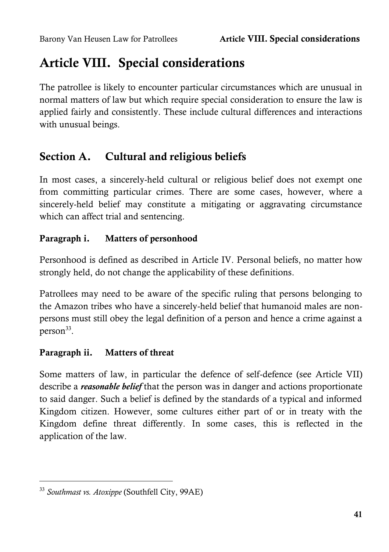# **Article VIII. Special considerations**

The patrollee is likely to encounter particular circumstances which are unusual in normal matters of law but which require special consideration to ensure the law is applied fairly and consistently. These include cultural differences and interactions with unusual beings.

# **Section A. Cultural and religious beliefs**

In most cases, a sincerely-held cultural or religious belief does not exempt one from committing particular crimes. There are some cases, however, where a sincerely-held belief may constitute a mitigating or aggravating circumstance which can affect trial and sentencing.

### **Paragraph i. Matters of personhood**

Personhood is defined as described in [Article IV.](#page-28-0) Personal beliefs, no matter how strongly held, do not change the applicability of these definitions.

Patrollees may need to be aware of the specific ruling that persons belonging to the Amazon tribes who have a sincerely-held belief that humanoid males are nonpersons must still obey the legal definition of a person and hence a crime against a person<sup>33</sup>.

#### **Paragraph ii. Matters of threat**

Some matters of law, in particular the defence of self-defence (see [Article VII\)](#page-52-0) describe a *reasonable belief* that the person was in danger and actions proportionate to said danger. Such a belief is defined by the standards of a typical and informed Kingdom citizen. However, some cultures either part of or in treaty with the Kingdom define threat differently. In some cases, this is reflected in the application of the law.

<sup>33</sup> *Southmast vs. Atoxippe* (Southfell City, 99AE)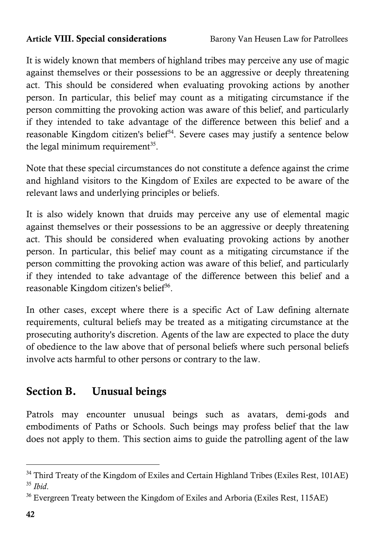#### **Article VIII. Special considerations** Barony Van Heusen Law for Patrollees

It is widely known that members of highland tribes may perceive any use of magic against themselves or their possessions to be an aggressive or deeply threatening act. This should be considered when evaluating provoking actions by another person. In particular, this belief may count as a mitigating circumstance if the person committing the provoking action was aware of this belief, and particularly if they intended to take advantage of the difference between this belief and a reasonable Kingdom citizen's belief<sup>34</sup>. Severe cases may justify a sentence below the legal minimum requirement $^{35}$ .

Note that these special circumstances do not constitute a defence against the crime and highland visitors to the Kingdom of Exiles are expected to be aware of the relevant laws and underlying principles or beliefs.

It is also widely known that druids may perceive any use of elemental magic against themselves or their possessions to be an aggressive or deeply threatening act. This should be considered when evaluating provoking actions by another person. In particular, this belief may count as a mitigating circumstance if the person committing the provoking action was aware of this belief, and particularly if they intended to take advantage of the difference between this belief and a reasonable Kingdom citizen's belief<sup>36</sup>.

In other cases, except where there is a specific Act of Law defining alternate requirements, cultural beliefs may be treated as a mitigating circumstance at the prosecuting authority's discretion. Agents of the law are expected to place the duty of obedience to the law above that of personal beliefs where such personal beliefs involve acts harmful to other persons or contrary to the law.

# **Section B. Unusual beings**

Patrols may encounter unusual beings such as avatars, demi-gods and embodiments of Paths or Schools. Such beings may profess belief that the law does not apply to them. This section aims to guide the patrolling agent of the law

<sup>&</sup>lt;sup>34</sup> Third Treaty of the Kingdom of Exiles and Certain Highland Tribes (Exiles Rest, 101AE) <sup>35</sup> *Ibid*.

<sup>&</sup>lt;sup>36</sup> Evergreen Treaty between the Kingdom of Exiles and Arboria (Exiles Rest, 115AE)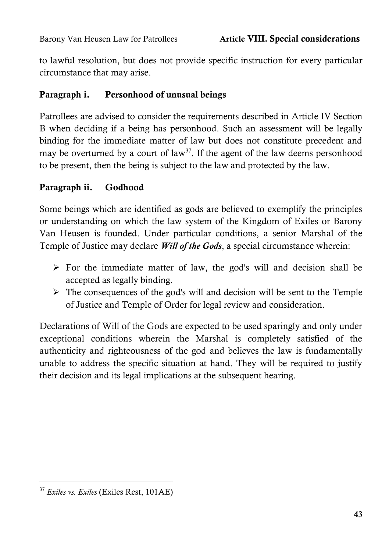to lawful resolution, but does not provide specific instruction for every particular circumstance that may arise.

#### **Paragraph i. Personhood of unusual beings**

Patrollees are advised to consider the requirements described in [Article IV](#page-28-0) [Section](#page-29-0)  [B](#page-29-0) when deciding if a being has personhood. Such an assessment will be legally binding for the immediate matter of law but does not constitute precedent and may be overturned by a court of law<sup>37</sup>. If the agent of the law deems personhood to be present, then the being is subject to the law and protected by the law.

#### **Paragraph ii. Godhood**

Some beings which are identified as gods are believed to exemplify the principles or understanding on which the law system of the Kingdom of Exiles or Barony Van Heusen is founded. Under particular conditions, a senior Marshal of the Temple of Justice may declare *Will of the Gods*, a special circumstance wherein:

- $\triangleright$  For the immediate matter of law, the god's will and decision shall be accepted as legally binding.
- $\triangleright$  The consequences of the god's will and decision will be sent to the Temple of Justice and Temple of Order for legal review and consideration.

Declarations of Will of the Gods are expected to be used sparingly and only under exceptional conditions wherein the Marshal is completely satisfied of the authenticity and righteousness of the god and believes the law is fundamentally unable to address the specific situation at hand. They will be required to justify their decision and its legal implications at the subsequent hearing.

<sup>37</sup> *Exiles vs. Exiles* (Exiles Rest, 101AE)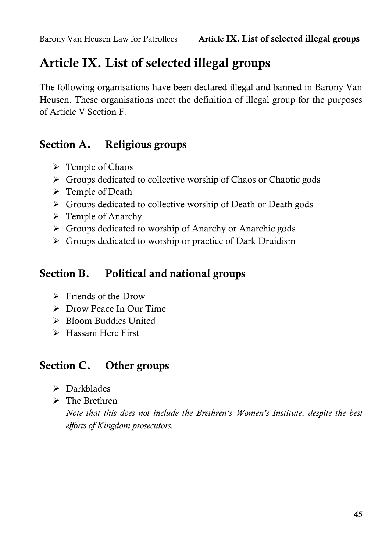# **Article IX. List of selected illegal groups**

The following organisations have been declared illegal and banned in Barony Van Heusen. These organisations meet the definition of illegal group for the purposes o[f Article V](#page-32-0) [Section F.](#page-46-0)

# **Section A. Religious groups**

- $\triangleright$  Temple of Chaos
- $\triangleright$  Groups dedicated to collective worship of Chaos or Chaotic gods
- $\triangleright$  Temple of Death
- Groups dedicated to collective worship of Death or Death gods
- $\triangleright$  Temple of Anarchy
- Groups dedicated to worship of Anarchy or Anarchic gods
- Groups dedicated to worship or practice of Dark Druidism

# **Section B. Political and national groups**

- $\triangleright$  Friends of the Drow
- Drow Peace In Our Time
- > Bloom Buddies United
- > Hassani Here First

# **Section C. Other groups**

- $\triangleright$  Darkblades
- $\triangleright$  The Brethren

*Note that this does not include the Brethren's Women's Institute, despite the best efforts of Kingdom prosecutors.*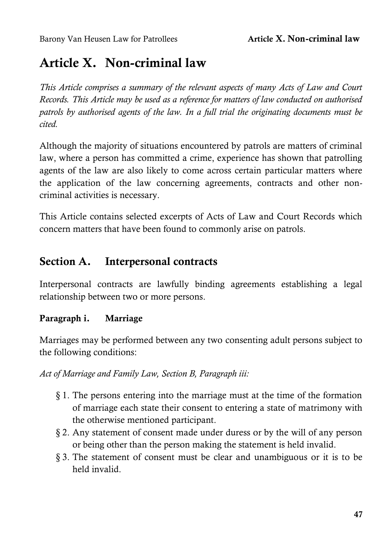# **Article X. Non-criminal law**

*This Article comprises a summary of the relevant aspects of many Acts of Law and Court Records. This Article may be used as a reference for matters of law conducted on authorised patrols by authorised agents of the law. In a full trial the originating documents must be cited.* 

Although the majority of situations encountered by patrols are matters of criminal law, where a person has committed a crime, experience has shown that patrolling agents of the law are also likely to come across certain particular matters where the application of the law concerning agreements, contracts and other noncriminal activities is necessary.

This Article contains selected excerpts of Acts of Law and Court Records which concern matters that have been found to commonly arise on patrols.

# **Section A. Interpersonal contracts**

Interpersonal contracts are lawfully binding agreements establishing a legal relationship between two or more persons.

## **Paragraph i. Marriage**

Marriages may be performed between any two consenting adult persons subject to the following conditions:

*Act of Marriage and Family Law, Section B, Paragraph iii:*

- § 1. The persons entering into the marriage must at the time of the formation of marriage each state their consent to entering a state of matrimony with the otherwise mentioned participant.
- § 2. Any statement of consent made under duress or by the will of any person or being other than the person making the statement is held invalid.
- § 3. The statement of consent must be clear and unambiguous or it is to be held invalid.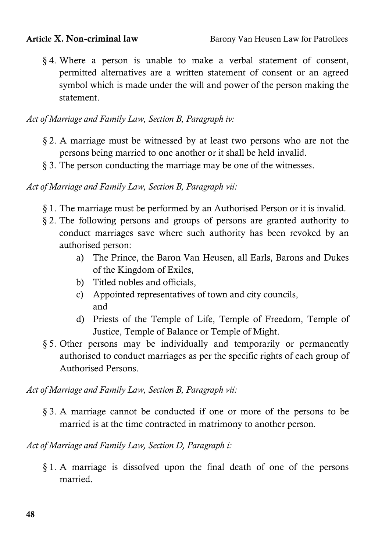§ 4. Where a person is unable to make a verbal statement of consent, permitted alternatives are a written statement of consent or an agreed symbol which is made under the will and power of the person making the statement.

*Act of Marriage and Family Law, Section B, Paragraph iv:*

- § 2. A marriage must be witnessed by at least two persons who are not the persons being married to one another or it shall be held invalid.
- § 3. The person conducting the marriage may be one of the witnesses.

*Act of Marriage and Family Law, Section B, Paragraph vii:*

- § 1. The marriage must be performed by an Authorised Person or it is invalid.
- § 2. The following persons and groups of persons are granted authority to conduct marriages save where such authority has been revoked by an authorised person:
	- a) The Prince, the Baron Van Heusen, all Earls, Barons and Dukes of the Kingdom of Exiles,
	- b) Titled nobles and officials,
	- c) Appointed representatives of town and city councils, and
	- d) Priests of the Temple of Life, Temple of Freedom, Temple of Justice, Temple of Balance or Temple of Might.
- § 5. Other persons may be individually and temporarily or permanently authorised to conduct marriages as per the specific rights of each group of Authorised Persons.

*Act of Marriage and Family Law, Section B, Paragraph vii:*

§ 3. A marriage cannot be conducted if one or more of the persons to be married is at the time contracted in matrimony to another person.

*Act of Marriage and Family Law, Section D, Paragraph i:*

§ 1. A marriage is dissolved upon the final death of one of the persons married.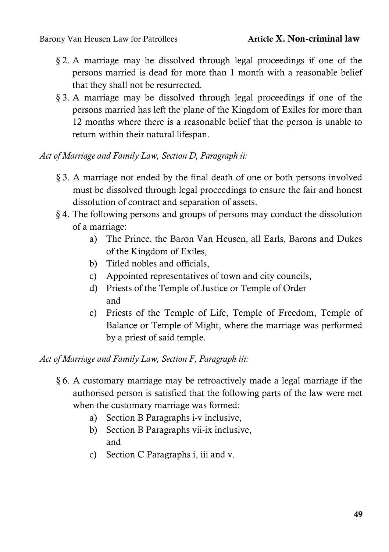- § 2. A marriage may be dissolved through legal proceedings if one of the persons married is dead for more than 1 month with a reasonable belief that they shall not be resurrected.
- § 3. A marriage may be dissolved through legal proceedings if one of the persons married has left the plane of the Kingdom of Exiles for more than 12 months where there is a reasonable belief that the person is unable to return within their natural lifespan.

#### *Act of Marriage and Family Law, Section D, Paragraph ii:*

- § 3. A marriage not ended by the final death of one or both persons involved must be dissolved through legal proceedings to ensure the fair and honest dissolution of contract and separation of assets.
- § 4. The following persons and groups of persons may conduct the dissolution of a marriage:
	- a) The Prince, the Baron Van Heusen, all Earls, Barons and Dukes of the Kingdom of Exiles,
	- b) Titled nobles and officials,
	- c) Appointed representatives of town and city councils,
	- d) Priests of the Temple of Justice or Temple of Order and
	- e) Priests of the Temple of Life, Temple of Freedom, Temple of Balance or Temple of Might, where the marriage was performed by a priest of said temple.

*Act of Marriage and Family Law, Section F, Paragraph iii:*

- § 6. A customary marriage may be retroactively made a legal marriage if the authorised person is satisfied that the following parts of the law were met when the customary marriage was formed:
	- a) Section B Paragraphs i-v inclusive,
	- b) Section B Paragraphs vii-ix inclusive, and
	- c) Section C Paragraphs i, iii and v.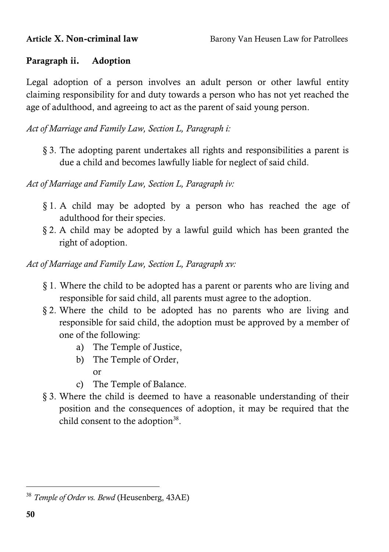### **Paragraph ii. Adoption**

Legal adoption of a person involves an adult person or other lawful entity claiming responsibility for and duty towards a person who has not yet reached the age of adulthood, and agreeing to act as the parent of said young person.

*Act of Marriage and Family Law, Section L, Paragraph i:*

§ 3. The adopting parent undertakes all rights and responsibilities a parent is due a child and becomes lawfully liable for neglect of said child.

*Act of Marriage and Family Law, Section L, Paragraph iv:*

- § 1. A child may be adopted by a person who has reached the age of adulthood for their species.
- § 2. A child may be adopted by a lawful guild which has been granted the right of adoption.

*Act of Marriage and Family Law, Section L, Paragraph xv:*

- § 1. Where the child to be adopted has a parent or parents who are living and responsible for said child, all parents must agree to the adoption.
- § 2. Where the child to be adopted has no parents who are living and responsible for said child, the adoption must be approved by a member of one of the following:
	- a) The Temple of Justice,
	- b) The Temple of Order, or
	- c) The Temple of Balance.
- § 3. Where the child is deemed to have a reasonable understanding of their position and the consequences of adoption, it may be required that the child consent to the adoption<sup>38</sup>.

<sup>38</sup> *Temple of Order vs. Bewd* (Heusenberg, 43AE)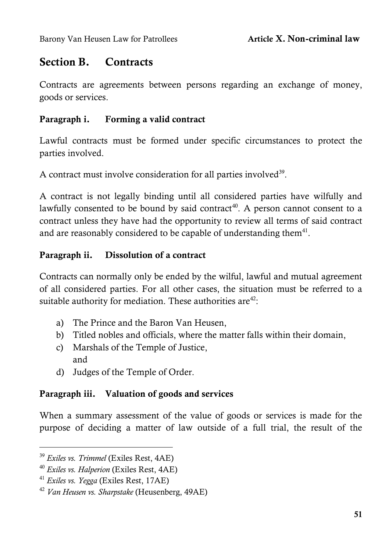# **Section B. Contracts**

Contracts are agreements between persons regarding an exchange of money, goods or services.

#### **Paragraph i. Forming a valid contract**

Lawful contracts must be formed under specific circumstances to protect the parties involved.

A contract must involve consideration for all parties involved<sup>39</sup>.

A contract is not legally binding until all considered parties have wilfully and lawfully consented to be bound by said contract<sup>40</sup>. A person cannot consent to a contract unless they have had the opportunity to review all terms of said contract and are reasonably considered to be capable of understanding them $41$ .

#### **Paragraph ii. Dissolution of a contract**

Contracts can normally only be ended by the wilful, lawful and mutual agreement of all considered parties. For all other cases, the situation must be referred to a suitable authority for mediation. These authorities are $42$ :

- a) The Prince and the Baron Van Heusen,
- b) Titled nobles and officials, where the matter falls within their domain.
- c) Marshals of the Temple of Justice, and
- d) Judges of the Temple of Order.

#### **Paragraph iii. Valuation of goods and services**

When a summary assessment of the value of goods or services is made for the purpose of deciding a matter of law outside of a full trial, the result of the

<sup>39</sup> *Exiles vs. Trimmel* (Exiles Rest, 4AE)

<sup>40</sup> *Exiles vs. Halperion* (Exiles Rest, 4AE)

<sup>41</sup> *Exiles vs. Yegga* (Exiles Rest, 17AE)

<sup>42</sup> *Van Heusen vs. Sharpstake* (Heusenberg, 49AE)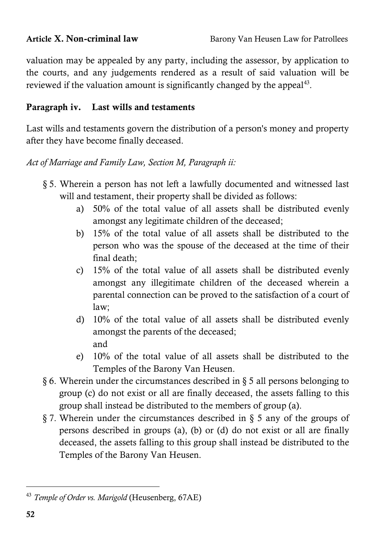valuation may be appealed by any party, including the assessor, by application to the courts, and any judgements rendered as a result of said valuation will be reviewed if the valuation amount is significantly changed by the appeal<sup>43</sup>.

### **Paragraph iv. Last wills and testaments**

Last wills and testaments govern the distribution of a person's money and property after they have become finally deceased.

#### *Act of Marriage and Family Law, Section M, Paragraph ii:*

- § 5. Wherein a person has not left a lawfully documented and witnessed last will and testament, their property shall be divided as follows:
	- a) 50% of the total value of all assets shall be distributed evenly amongst any legitimate children of the deceased;
	- b) 15% of the total value of all assets shall be distributed to the person who was the spouse of the deceased at the time of their final death;
	- c) 15% of the total value of all assets shall be distributed evenly amongst any illegitimate children of the deceased wherein a parental connection can be proved to the satisfaction of a court of law;
	- d) 10% of the total value of all assets shall be distributed evenly amongst the parents of the deceased; and
	- e) 10% of the total value of all assets shall be distributed to the Temples of the Barony Van Heusen.
- § 6. Wherein under the circumstances described in § 5 all persons belonging to group (c) do not exist or all are finally deceased, the assets falling to this group shall instead be distributed to the members of group (a).
- § 7. Wherein under the circumstances described in § 5 any of the groups of persons described in groups (a), (b) or (d) do not exist or all are finally deceased, the assets falling to this group shall instead be distributed to the Temples of the Barony Van Heusen.

<sup>43</sup> *Temple of Order vs. Marigold* (Heusenberg, 67AE)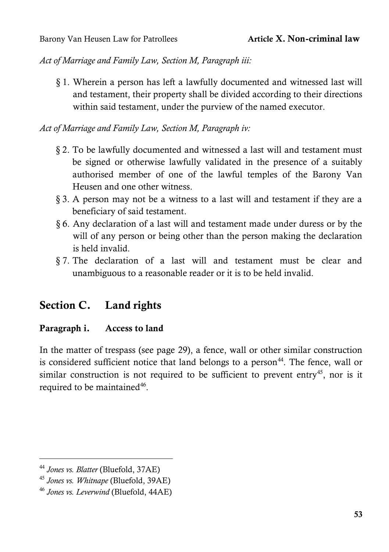*Act of Marriage and Family Law, Section M, Paragraph iii:*

§ 1. Wherein a person has left a lawfully documented and witnessed last will and testament, their property shall be divided according to their directions within said testament, under the purview of the named executor.

*Act of Marriage and Family Law, Section M, Paragraph iv:*

- § 2. To be lawfully documented and witnessed a last will and testament must be signed or otherwise lawfully validated in the presence of a suitably authorised member of one of the lawful temples of the Barony Van Heusen and one other witness.
- § 3. A person may not be a witness to a last will and testament if they are a beneficiary of said testament.
- § 6. Any declaration of a last will and testament made under duress or by the will of any person or being other than the person making the declaration is held invalid.
- § 7. The declaration of a last will and testament must be clear and unambiguous to a reasonable reader or it is to be held invalid.

# **Section C. Land rights**

## **Paragraph i. Access to land**

In the matter of trespass (see page [29\)](#page-42-0), a fence, wall or other similar construction is considered sufficient notice that land belongs to a person $44$ . The fence, wall or similar construction is not required to be sufficient to prevent entry<sup>45</sup>, nor is it required to be maintained<sup>46</sup>.

<sup>44</sup> *Jones vs. Blatter* (Bluefold, 37AE)

<sup>45</sup> *Jones vs. Whitnape* (Bluefold, 39AE)

<sup>46</sup> *Jones vs. Leverwind* (Bluefold, 44AE)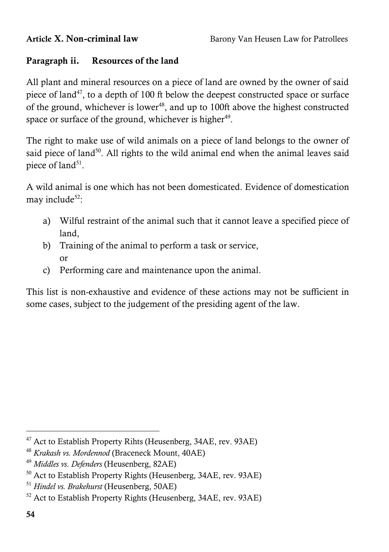# **Paragraph ii. Resources of the land**

All plant and mineral resources on a piece of land are owned by the owner of said piece of land<sup>47</sup>, to a depth of 100 ft below the deepest constructed space or surface of the ground, whichever is lower<sup>48</sup>, and up to 100ft above the highest constructed space or surface of the ground, whichever is higher<sup>49</sup>.

The right to make use of wild animals on a piece of land belongs to the owner of said piece of land<sup>50</sup>. All rights to the wild animal end when the animal leaves said piece of land<sup>51</sup>.

A wild animal is one which has not been domesticated. Evidence of domestication may include<sup>52</sup>:

- a) Wilful restraint of the animal such that it cannot leave a specified piece of land,
- b) Training of the animal to perform a task or service, or
- c) Performing care and maintenance upon the animal.

This list is non-exhaustive and evidence of these actions may not be sufficient in some cases, subject to the judgement of the presiding agent of the law.

<sup>&</sup>lt;sup>47</sup> Act to Establish Property Rihts (Heusenberg, 34AE, rev. 93AE)

<sup>48</sup> *Krakash vs. Mordennod* (Braceneck Mount, 40AE)

<sup>49</sup> *Middles vs. Defenders* (Heusenberg, 82AE)

<sup>50</sup> Act to Establish Property Rights (Heusenberg, 34AE, rev. 93AE)

<sup>51</sup> *Hindel vs. Brakehurst* (Heusenberg, 50AE)

<sup>52</sup> Act to Establish Property Rights (Heusenberg, 34AE, rev. 93AE)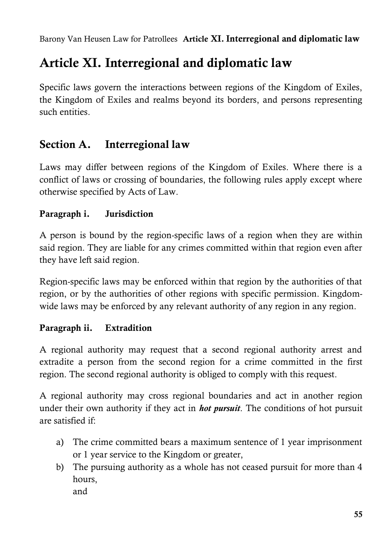Barony Van Heusen Law for Patrollees **Article XI. Interregional and diplomatic law**

# **Article XI. Interregional and diplomatic law**

Specific laws govern the interactions between regions of the Kingdom of Exiles, the Kingdom of Exiles and realms beyond its borders, and persons representing such entities.

# **Section A. Interregional law**

Laws may differ between regions of the Kingdom of Exiles. Where there is a conflict of laws or crossing of boundaries, the following rules apply except where otherwise specified by Acts of Law.

### **Paragraph i. Jurisdiction**

A person is bound by the region-specific laws of a region when they are within said region. They are liable for any crimes committed within that region even after they have left said region.

Region-specific laws may be enforced within that region by the authorities of that region, or by the authorities of other regions with specific permission. Kingdomwide laws may be enforced by any relevant authority of any region in any region.

#### **Paragraph ii. Extradition**

A regional authority may request that a second regional authority arrest and extradite a person from the second region for a crime committed in the first region. The second regional authority is obliged to comply with this request.

A regional authority may cross regional boundaries and act in another region under their own authority if they act in *hot pursuit*. The conditions of hot pursuit are satisfied if:

- a) The crime committed bears a maximum sentence of 1 year imprisonment or 1 year service to the Kingdom or greater,
- b) The pursuing authority as a whole has not ceased pursuit for more than 4 hours, and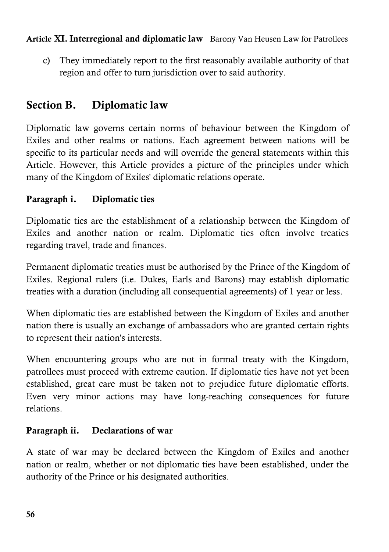#### **Article XI. Interregional and diplomatic law** Barony Van Heusen Law for Patrollees

c) They immediately report to the first reasonably available authority of that region and offer to turn jurisdiction over to said authority.

# **Section B. Diplomatic law**

Diplomatic law governs certain norms of behaviour between the Kingdom of Exiles and other realms or nations. Each agreement between nations will be specific to its particular needs and will override the general statements within this Article. However, this Article provides a picture of the principles under which many of the Kingdom of Exiles' diplomatic relations operate.

# **Paragraph i. Diplomatic ties**

Diplomatic ties are the establishment of a relationship between the Kingdom of Exiles and another nation or realm. Diplomatic ties often involve treaties regarding travel, trade and finances.

Permanent diplomatic treaties must be authorised by the Prince of the Kingdom of Exiles. Regional rulers (i.e. Dukes, Earls and Barons) may establish diplomatic treaties with a duration (including all consequential agreements) of 1 year or less.

When diplomatic ties are established between the Kingdom of Exiles and another nation there is usually an exchange of ambassadors who are granted certain rights to represent their nation's interests.

When encountering groups who are not in formal treaty with the Kingdom, patrollees must proceed with extreme caution. If diplomatic ties have not yet been established, great care must be taken not to prejudice future diplomatic efforts. Even very minor actions may have long-reaching consequences for future relations.

## **Paragraph ii. Declarations of war**

A state of war may be declared between the Kingdom of Exiles and another nation or realm, whether or not diplomatic ties have been established, under the authority of the Prince or his designated authorities.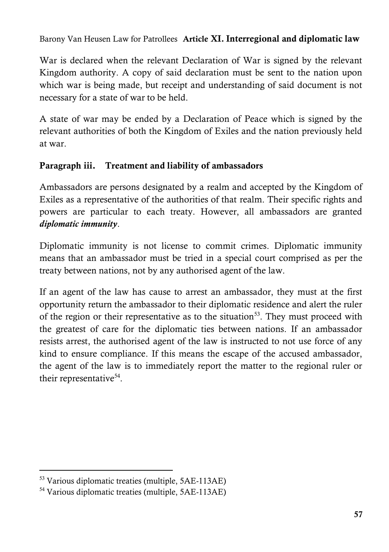#### Barony Van Heusen Law for Patrollees **Article XI. Interregional and diplomatic law**

War is declared when the relevant Declaration of War is signed by the relevant Kingdom authority. A copy of said declaration must be sent to the nation upon which war is being made, but receipt and understanding of said document is not necessary for a state of war to be held.

A state of war may be ended by a Declaration of Peace which is signed by the relevant authorities of both the Kingdom of Exiles and the nation previously held at war.

#### **Paragraph iii. Treatment and liability of ambassadors**

Ambassadors are persons designated by a realm and accepted by the Kingdom of Exiles as a representative of the authorities of that realm. Their specific rights and powers are particular to each treaty. However, all ambassadors are granted *diplomatic immunity*.

Diplomatic immunity is not license to commit crimes. Diplomatic immunity means that an ambassador must be tried in a special court comprised as per the treaty between nations, not by any authorised agent of the law.

If an agent of the law has cause to arrest an ambassador, they must at the first opportunity return the ambassador to their diplomatic residence and alert the ruler of the region or their representative as to the situation<sup>53</sup>. They must proceed with the greatest of care for the diplomatic ties between nations. If an ambassador resists arrest, the authorised agent of the law is instructed to not use force of any kind to ensure compliance. If this means the escape of the accused ambassador, the agent of the law is to immediately report the matter to the regional ruler or their representative<sup>54</sup>.

<sup>53</sup> Various diplomatic treaties (multiple, 5AE-113AE)

<sup>54</sup> Various diplomatic treaties (multiple, 5AE-113AE)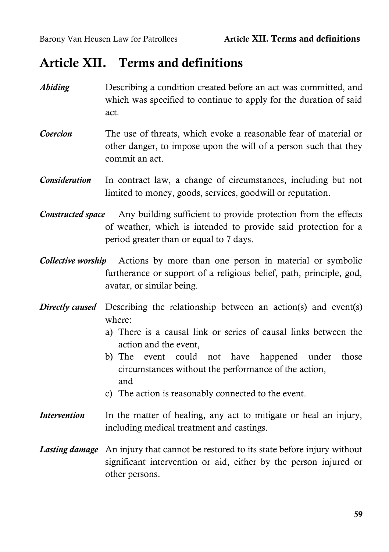## **Article XII. Terms and definitions**

- *Abiding* Describing a condition created before an act was committed, and which was specified to continue to apply for the duration of said act.
- *Coercion* The use of threats, which evoke a reasonable fear of material or other danger, to impose upon the will of a person such that they commit an act.

#### *Consideration* In contract law, a change of circumstances, including but not limited to money, goods, services, goodwill or reputation.

- *Constructed space* Any building sufficient to provide protection from the effects of weather, which is intended to provide said protection for a period greater than or equal to 7 days.
- *Collective worship* Actions by more than one person in material or symbolic furtherance or support of a religious belief, path, principle, god, avatar, or similar being.
- *Directly caused* Describing the relationship between an action(s) and event(s) where:
	- a) There is a causal link or series of causal links between the action and the event,
	- b) The event could not have happened under those circumstances without the performance of the action, and
	- c) The action is reasonably connected to the event.
- *Intervention* In the matter of healing, any act to mitigate or heal an injury, including medical treatment and castings.
- *Lasting damage* An injury that cannot be restored to its state before injury without significant intervention or aid, either by the person injured or other persons.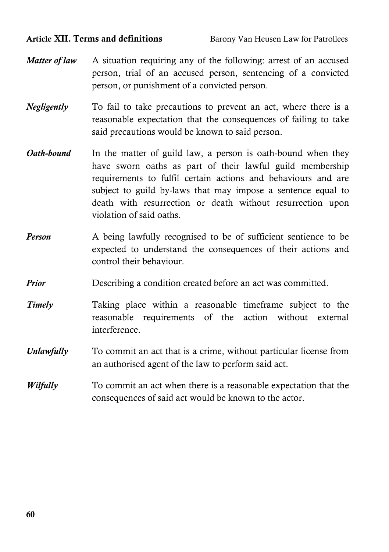#### **Article XII. Terms and definitions** Barony Van Heusen Law for Patrollees

- *Matter of law* A situation requiring any of the following: arrest of an accused person, trial of an accused person, sentencing of a convicted person, or punishment of a convicted person.
- *Negligently* To fail to take precautions to prevent an act, where there is a reasonable expectation that the consequences of failing to take said precautions would be known to said person.
- *Oath-bound* In the matter of guild law, a person is oath-bound when they have sworn oaths as part of their lawful guild membership requirements to fulfil certain actions and behaviours and are subject to guild by-laws that may impose a sentence equal to death with resurrection or death without resurrection upon violation of said oaths.
- *Person* A being lawfully recognised to be of sufficient sentience to be expected to understand the consequences of their actions and control their behaviour.
- *Prior* Describing a condition created before an act was committed.
- *Timely* Taking place within a reasonable timeframe subject to the reasonable requirements of the action without external interference.
- *Unlawfully* To commit an act that is a crime, without particular license from an authorised agent of the law to perform said act.

*Wilfully* To commit an act when there is a reasonable expectation that the consequences of said act would be known to the actor.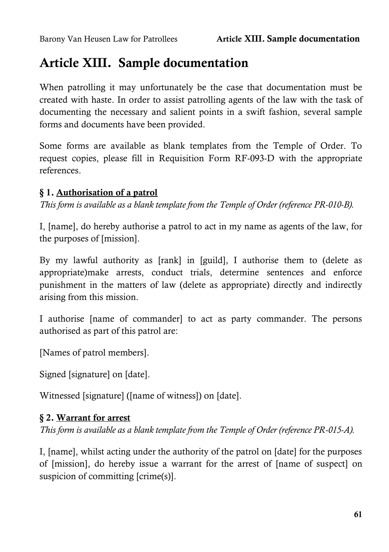# **Article XIII. Sample documentation**

When patrolling it may unfortunately be the case that documentation must be created with haste. In order to assist patrolling agents of the law with the task of documenting the necessary and salient points in a swift fashion, several sample forms and documents have been provided.

Some forms are available as blank templates from the Temple of Order. To request copies, please fill in Requisition Form RF-093-D with the appropriate references.

#### **§ 1. Authorisation of a patrol**

*This form is available as a blank template from the Temple of Order (reference PR-010-B).*

I, [name], do hereby authorise a patrol to act in my name as agents of the law, for the purposes of [mission].

By my lawful authority as [rank] in [guild], I authorise them to (delete as appropriate)make arrests, conduct trials, determine sentences and enforce punishment in the matters of law (delete as appropriate) directly and indirectly arising from this mission.

I authorise [name of commander] to act as party commander. The persons authorised as part of this patrol are:

[Names of patrol members].

Signed [signature] on [date].

Witnessed [signature] ([name of witness]) on [date].

#### **§ 2. Warrant for arrest**

*This form is available as a blank template from the Temple of Order (reference PR-015-A).*

I, [name], whilst acting under the authority of the patrol on [date] for the purposes of [mission], do hereby issue a warrant for the arrest of [name of suspect] on suspicion of committing [crime(s)].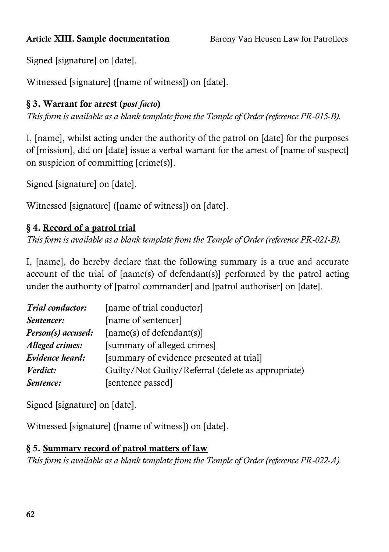Signed [signature] on [date].

Witnessed [signature] ([name of witness]) on [date].

## **§ 3. Warrant for arrest (***post facto***)**

*This form is available as a blank template from the Temple of Order (reference PR-015-B).*

I, [name], whilst acting under the authority of the patrol on [date] for the purposes of [mission], did on [date] issue a verbal warrant for the arrest of [name of suspect] on suspicion of committing [crime(s)].

Signed [signature] on [date].

Witnessed [signature] ([name of witness]) on [date].

## **§ 4. Record of a patrol trial**

*This form is available as a blank template from the Temple of Order (reference PR-021-B).*

I, [name], do hereby declare that the following summary is a true and accurate account of the trial of [name(s) of defendant(s)] performed by the patrol acting under the authority of [patrol commander] and [patrol authoriser] on [date].

| Trial conductor:   | [name of trial conductor]                          |  |  |
|--------------------|----------------------------------------------------|--|--|
| Sentencer:         | [name of sentencer]                                |  |  |
| Person(s) accused: | $[name(s)$ of defendant(s)]                        |  |  |
| Alleged crimes:    | [summary of alleged crimes]                        |  |  |
| Evidence heard:    | [summary of evidence presented at trial]           |  |  |
| Verdict:           | Guilty/Not Guilty/Referral (delete as appropriate) |  |  |
| Sentence:          | [sentence passed]                                  |  |  |

Signed [signature] on [date].

Witnessed [signature] ([name of witness]) on [date].

### **§ 5. Summary record of patrol matters of law**

*This form is available as a blank template from the Temple of Order (reference PR-022-A).*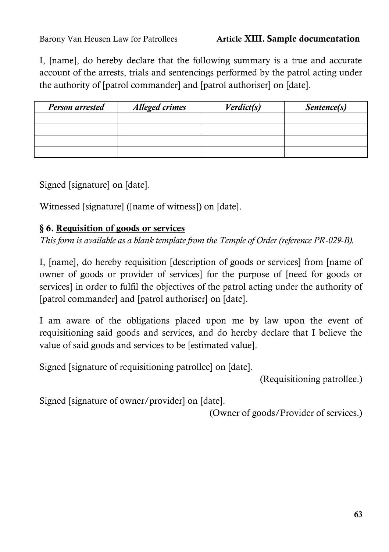I, [name], do hereby declare that the following summary is a true and accurate account of the arrests, trials and sentencings performed by the patrol acting under the authority of [patrol commander] and [patrol authoriser] on [date].

| Person arrested | <b>Alleged crimes</b> | Verdict(s) | Sentence(s) |
|-----------------|-----------------------|------------|-------------|
|                 |                       |            |             |
|                 |                       |            |             |
|                 |                       |            |             |
|                 |                       |            |             |

Signed [signature] on [date].

Witnessed [signature] ([name of witness]) on [date].

#### **§ 6. Requisition of goods or services**

*This form is available as a blank template from the Temple of Order (reference PR-029-B).*

I, [name], do hereby requisition [description of goods or services] from [name of owner of goods or provider of services] for the purpose of [need for goods or services] in order to fulfil the objectives of the patrol acting under the authority of [patrol commander] and [patrol authoriser] on [date].

I am aware of the obligations placed upon me by law upon the event of requisitioning said goods and services, and do hereby declare that I believe the value of said goods and services to be [estimated value].

Signed [signature of requisitioning patrollee] on [date].

(Requisitioning patrollee.)

Signed [signature of owner/provider] on [date].

(Owner of goods/Provider of services.)